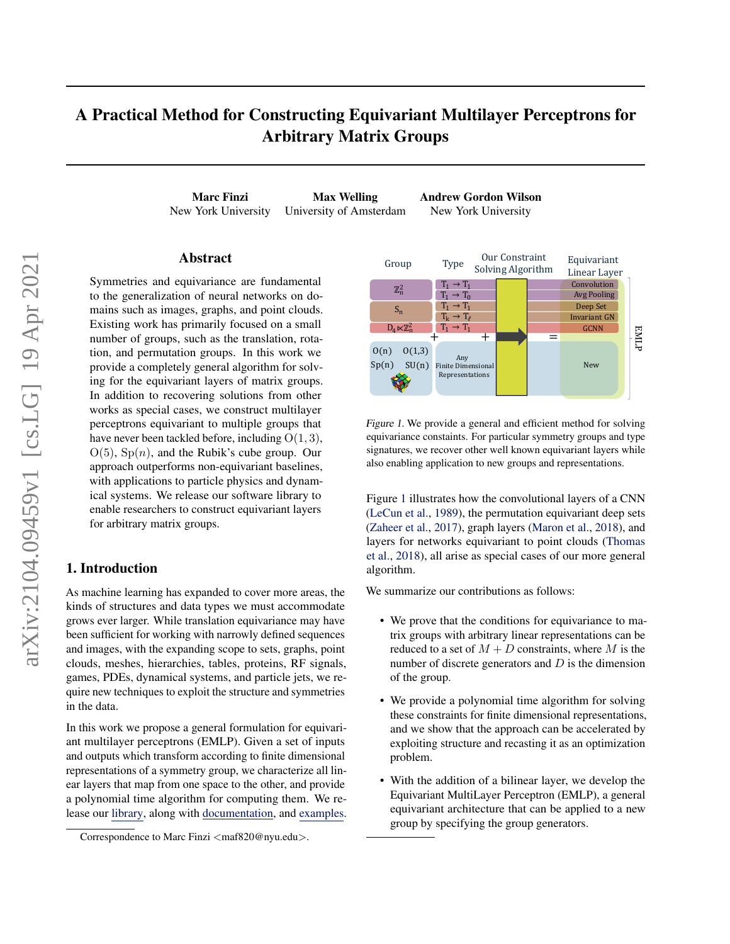# A Practical Method for Constructing Equivariant Multilayer Perceptrons for Arbitrary Matrix Groups

Marc Finzi Max Welling Andrew Gordon Wilson New York University University of Amsterdam New York University

### Abstract

Symmetries and equivariance are fundamental to the generalization of neural networks on domains such as images, graphs, and point clouds. Existing work has primarily focused on a small number of groups, such as the translation, rotation, and permutation groups. In this work we provide a completely general algorithm for solving for the equivariant layers of matrix groups. In addition to recovering solutions from other works as special cases, we construct multilayer perceptrons equivariant to multiple groups that have never been tackled before, including  $O(1, 3)$ ,  $O(5)$ ,  $Sp(n)$ , and the Rubik's cube group. Our approach outperforms non-equivariant baselines, with applications to particle physics and dynamical systems. We release our software library to enable researchers to construct equivariant layers for arbitrary matrix groups.

### 1. Introduction

As machine learning has expanded to cover more areas, the kinds of structures and data types we must accommodate grows ever larger. While translation equivariance may have been sufficient for working with narrowly defined sequences and images, with the expanding scope to sets, graphs, point clouds, meshes, hierarchies, tables, proteins, RF signals, games, PDEs, dynamical systems, and particle jets, we require new techniques to exploit the structure and symmetries in the data.

In this work we propose a general formulation for equivariant multilayer perceptrons (EMLP). Given a set of inputs and outputs which transform according to finite dimensional representations of a symmetry group, we characterize all linear layers that map from one space to the other, and provide a polynomial time algorithm for computing them. We release our [library,](https://github.com/mfinzi/equivariant-MLP) along with [documentation,](https://emlp.readthedocs.io/en/latest/) and [examples.](https://colab.research.google.com/github/mfinzi/equivariant-MLP/blob/master/docs/notebooks/colabs/all.ipynb)



Figure 1. We provide a general and efficient method for solving equivariance constaints. For particular symmetry groups and type signatures, we recover other well known equivariant layers while also enabling application to new groups and representations.

Figure 1 illustrates how the convolutional layers of a CNN [\(LeCun et al.,](#page-9-0) [1989\)](#page-9-0), the permutation equivariant deep sets [\(Zaheer et al.,](#page-10-0) [2017\)](#page-10-0), graph layers [\(Maron et al.,](#page-9-0) [2018\)](#page-9-0), and layers for networks equivariant to point clouds [\(Thomas](#page-9-0) [et al.,](#page-9-0) [2018\)](#page-9-0), all arise as special cases of our more general algorithm.

We summarize our contributions as follows:

- We prove that the conditions for equivariance to matrix groups with arbitrary linear representations can be reduced to a set of  $M + D$  constraints, where M is the number of discrete generators and  $D$  is the dimension of the group.
- We provide a polynomial time algorithm for solving these constraints for finite dimensional representations, and we show that the approach can be accelerated by exploiting structure and recasting it as an optimization problem.
- With the addition of a bilinear layer, we develop the Equivariant MultiLayer Perceptron (EMLP), a general equivariant architecture that can be applied to a new group by specifying the group generators.

Correspondence to Marc Finzi <maf820@nyu.edu>.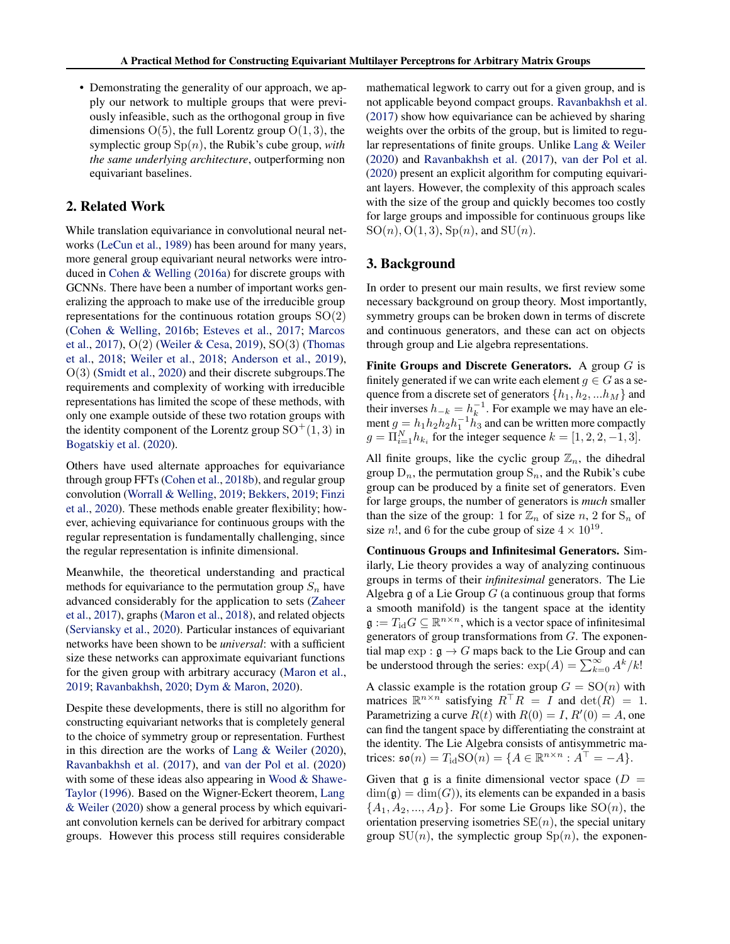• Demonstrating the generality of our approach, we apply our network to multiple groups that were previously infeasible, such as the orthogonal group in five dimensions  $O(5)$ , the full Lorentz group  $O(1, 3)$ , the symplectic group  $Sp(n)$ , the Rubik's cube group, *with the same underlying architecture*, outperforming non equivariant baselines.

### 2. Related Work

While translation equivariance in convolutional neural networks [\(LeCun et al.,](#page-9-0) [1989\)](#page-9-0) has been around for many years, more general group equivariant neural networks were introduced in [Cohen & Welling](#page-8-0) [\(2016a\)](#page-8-0) for discrete groups with GCNNs. There have been a number of important works generalizing the approach to make use of the irreducible group representations for the continuous rotation groups  $SO(2)$ [\(Cohen & Welling,](#page-8-0) [2016b;](#page-8-0) [Esteves et al.,](#page-9-0) [2017;](#page-9-0) [Marcos](#page-9-0) [et al.,](#page-9-0) [2017\)](#page-9-0), O(2) [\(Weiler & Cesa,](#page-10-0) [2019\)](#page-10-0), SO(3) [\(Thomas](#page-9-0) [et al.,](#page-9-0) [2018;](#page-9-0) [Weiler et al.,](#page-10-0) [2018;](#page-10-0) [Anderson et al.,](#page-8-0) [2019\)](#page-8-0), O(3) [\(Smidt et al.,](#page-9-0) [2020\)](#page-9-0) and their discrete subgroups.The requirements and complexity of working with irreducible representations has limited the scope of these methods, with only one example outside of these two rotation groups with the identity component of the Lorentz group  $SO^+(1,3)$  in [Bogatskiy et al.](#page-8-0) [\(2020\)](#page-8-0).

Others have used alternate approaches for equivariance through group FFTs [\(Cohen et al.,](#page-8-0) [2018b\)](#page-8-0), and regular group convolution [\(Worrall & Welling,](#page-10-0) [2019;](#page-10-0) [Bekkers,](#page-8-0) [2019;](#page-8-0) [Finzi](#page-9-0) [et al.,](#page-9-0) [2020\)](#page-9-0). These methods enable greater flexibility; however, achieving equivariance for continuous groups with the regular representation is fundamentally challenging, since the regular representation is infinite dimensional.

Meanwhile, the theoretical understanding and practical methods for equivariance to the permutation group  $S_n$  have advanced considerably for the application to sets [\(Zaheer](#page-10-0) [et al.,](#page-10-0) [2017\)](#page-10-0), graphs [\(Maron et al.,](#page-9-0) [2018\)](#page-9-0), and related objects [\(Serviansky et al.,](#page-9-0) [2020\)](#page-9-0). Particular instances of equivariant networks have been shown to be *universal*: with a sufficient size these networks can approximate equivariant functions for the given group with arbitrary accuracy [\(Maron et al.,](#page-9-0) [2019;](#page-9-0) [Ravanbakhsh,](#page-9-0) [2020;](#page-9-0) [Dym & Maron,](#page-9-0) [2020\)](#page-9-0).

Despite these developments, there is still no algorithm for constructing equivariant networks that is completely general to the choice of symmetry group or representation. Furthest in this direction are the works of [Lang & Weiler](#page-9-0) [\(2020\)](#page-9-0), [Ravanbakhsh et al.](#page-9-0) [\(2017\)](#page-9-0), and [van der Pol et al.](#page-9-0) [\(2020\)](#page-9-0) with some of these ideas also appearing in [Wood & Shawe-](#page-10-0)[Taylor](#page-10-0) [\(1996\)](#page-10-0). Based on the Wigner-Eckert theorem, [Lang](#page-9-0) [& Weiler](#page-9-0) [\(2020\)](#page-9-0) show a general process by which equivariant convolution kernels can be derived for arbitrary compact groups. However this process still requires considerable

mathematical legwork to carry out for a given group, and is not applicable beyond compact groups. [Ravanbakhsh et al.](#page-9-0) [\(2017\)](#page-9-0) show how equivariance can be achieved by sharing weights over the orbits of the group, but is limited to regular representations of finite groups. Unlike [Lang & Weiler](#page-9-0) [\(2020\)](#page-9-0) and [Ravanbakhsh et al.](#page-9-0) [\(2017\)](#page-9-0), [van der Pol et al.](#page-9-0) [\(2020\)](#page-9-0) present an explicit algorithm for computing equivariant layers. However, the complexity of this approach scales with the size of the group and quickly becomes too costly for large groups and impossible for continuous groups like  $SO(n)$ ,  $O(1, 3)$ ,  $Sp(n)$ , and  $SU(n)$ .

### 3. Background

In order to present our main results, we first review some necessary background on group theory. Most importantly, symmetry groups can be broken down in terms of discrete and continuous generators, and these can act on objects through group and Lie algebra representations.

Finite Groups and Discrete Generators. A group  $G$  is finitely generated if we can write each element  $g \in G$  as a sequence from a discrete set of generators  $\{h_1, h_2, ... h_M\}$  and their inverses  $h_{-k} = h_k^{-1}$ . For example we may have an element  $g = h_1 h_2 h_2 h_1^{-1} h_3$  and can be written more compactly  $g = \prod_{i=1}^{N} h_{k_i}$  for the integer sequence  $k = [1, 2, 2, -1, 3]$ .

All finite groups, like the cyclic group  $\mathbb{Z}_n$ , the dihedral group  $D_n$ , the permutation group  $S_n$ , and the Rubik's cube group can be produced by a finite set of generators. Even for large groups, the number of generators is *much* smaller than the size of the group: 1 for  $\mathbb{Z}_n$  of size n, 2 for  $S_n$  of size *n*!, and 6 for the cube group of size  $4 \times 10^{19}$ .

Continuous Groups and Infinitesimal Generators. Similarly, Lie theory provides a way of analyzing continuous groups in terms of their *infinitesimal* generators. The Lie Algebra g of a Lie Group  $G$  (a continuous group that forms a smooth manifold) is the tangent space at the identity  $\mathfrak{g} := T_{\text{id}} G \subseteq \mathbb{R}^{n \times n}$ , which is a vector space of infinitesimal generators of group transformations from  $G$ . The exponential map  $\exp : \mathfrak{g} \to G$  maps back to the Lie Group and can be understood through the series:  $\exp(A) = \sum_{k=0}^{\infty} A^k / k!$ 

A classic example is the rotation group  $G = SO(n)$  with matrices  $\mathbb{R}^{n \times n}$  satisfying  $R^{\top}R = I$  and  $\det(R) = 1$ . Parametrizing a curve  $R(t)$  with  $R(0) = I$ ,  $R'(0) = A$ , one can find the tangent space by differentiating the constraint at the identity. The Lie Algebra consists of antisymmetric matrices:  $\mathfrak{so}(n) = T_{\text{id}}\text{SO}(n) = \{A \in \mathbb{R}^{n \times n} : A^{\top} = -A\}.$ 

Given that  $\mathfrak g$  is a finite dimensional vector space ( $D =$  $\dim(\mathfrak{g}) = \dim(G)$ , its elements can be expanded in a basis  ${A_1, A_2, ..., A_D}$ . For some Lie Groups like  $SO(n)$ , the orientation preserving isometries  $SE(n)$ , the special unitary group  $SU(n)$ , the symplectic group  $Sp(n)$ , the exponen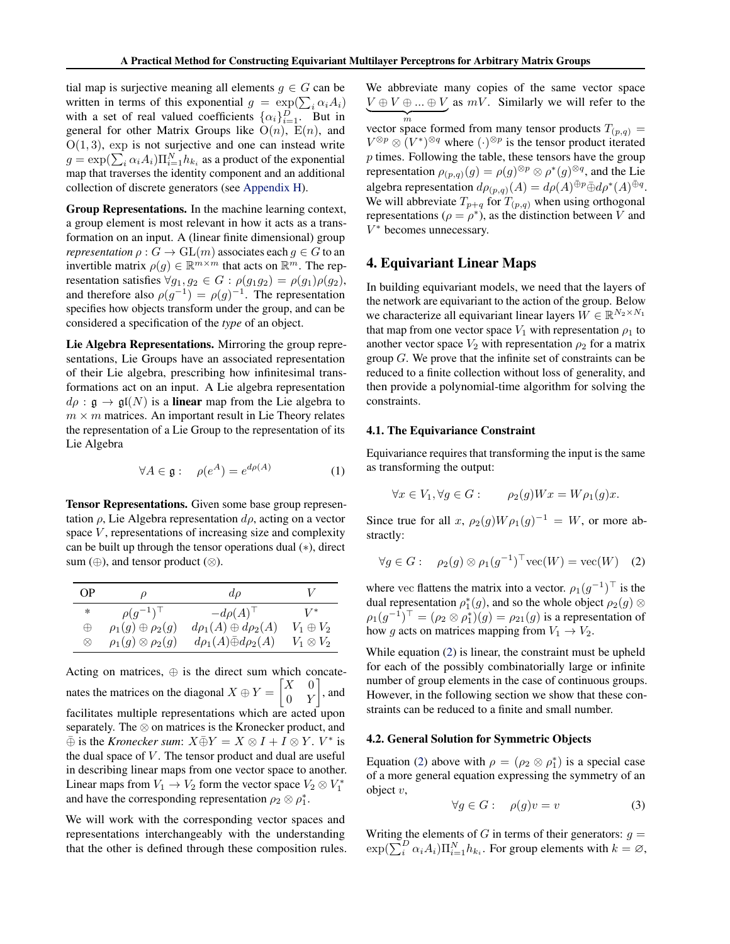<span id="page-2-0"></span>tial map is surjective meaning all elements  $g \in G$  can be written in terms of this exponential  $g = \exp(\sum_i \alpha_i A_i)$ with a set of real valued coefficients  $\{\alpha_i\}_{i=1}^D$ . But in general for other Matrix Groups like  $O(n)$ ,  $E(n)$ , and  $O(1, 3)$ , exp is not surjective and one can instead write  $g = \exp(\sum_i \alpha_i A_i) \Pi_{i=1}^N h_{k_i}$  as a product of the exponential map that traverses the identity component and an additional collection of discrete generators (see [Appendix H\)](#page-16-0).

Group Representations. In the machine learning context, a group element is most relevant in how it acts as a transformation on an input. A (linear finite dimensional) group *representation*  $\rho$  :  $G \to GL(m)$  associates each  $q \in G$  to an invertible matrix  $\rho(g) \in \mathbb{R}^{m \times m}$  that acts on  $\mathbb{R}^m$ . The representation satisfies  $\forall g_1, g_2 \in G : \rho(g_1g_2) = \rho(g_1)\rho(g_2),$ and therefore also  $\rho(g^{-1}) = \rho(g)^{-1}$ . The representation specifies how objects transform under the group, and can be considered a specification of the *type* of an object.

Lie Algebra Representations. Mirroring the group representations, Lie Groups have an associated representation of their Lie algebra, prescribing how infinitesimal transformations act on an input. A Lie algebra representation  $d\rho$ :  $\mathfrak{g} \to \mathfrak{gl}(N)$  is a **linear** map from the Lie algebra to  $m \times m$  matrices. An important result in Lie Theory relates the representation of a Lie Group to the representation of its Lie Algebra

$$
\forall A \in \mathfrak{g}: \quad \rho(e^A) = e^{d\rho(A)} \tag{1}
$$

Tensor Representations. Given some base group representation  $\rho$ , Lie Algebra representation  $d\rho$ , acting on a vector space  $V$ , representations of increasing size and complexity can be built up through the tensor operations dual (∗), direct sum  $(\oplus)$ , and tensor product  $(\otimes)$ .

| OΡ        | ρ                             | $d\rho$                            |                  |
|-----------|-------------------------------|------------------------------------|------------------|
| $*$       | $\rho(q^{-1})^{\top}$         | $-d\rho(A)^{\top}$                 | $V^*$            |
| $\oplus$  | $\rho_1(g) \oplus \rho_2(g)$  | $d\rho_1(A) \oplus d\rho_2(A)$     | $V_1\oplus V_2$  |
| $\otimes$ | $\rho_1(g) \otimes \rho_2(g)$ | $d\rho_1(A)\bar{\oplus}d\rho_2(A)$ | $V_1\otimes V_2$ |

Acting on matrices,  $\oplus$  is the direct sum which concatenates the matrices on the diagonal  $X \oplus Y = \begin{bmatrix} X & 0 \\ 0 & Y \end{bmatrix}$  $0 \quad Y$  $\Big]$ , and facilitates multiple representations which are acted upon separately. The ⊗ on matrices is the Kronecker product, and  $\overline{\oplus}$  is the *Kronecker sum*:  $X \overline{\oplus} Y = X \otimes I + I \otimes Y$ .  $V^*$  is the dual space of  $V$ . The tensor product and dual are useful in describing linear maps from one vector space to another. Linear maps from  $V_1 \to V_2$  form the vector space  $V_2 \otimes V_1^*$ and have the corresponding representation  $\rho_2 \otimes \rho_1^*$ .

We will work with the corresponding vector spaces and representations interchangeably with the understanding that the other is defined through these composition rules. We abbreviate many copies of the same vector space  $V \oplus V \oplus ... \oplus V$  as  $mV$ . Similarly we will refer to the  $\overline{m}$ <br>vector space formed from many tensor products  $T_{(p,q)} =$ 

 $V^{\otimes p} \otimes (V^*)^{\otimes q}$  where  $(\cdot)^{\otimes p}$  is the tensor product iterated  $p$  times. Following the table, these tensors have the group representation  $\rho_{(p,q)}(g) = \rho(g)^{\otimes p} \otimes \rho^*(g)^{\otimes q}$ , and the Lie algebra representation  $d\rho_{(p,q)}(A) = d\rho(A) \bar{\oplus} p \bar{\oplus} d\rho^*(A) \bar{\oplus} q$ . We will abbreviate  $T_{p+q}$  for  $T_{(p,q)}$  when using orthogonal representations ( $\rho = \rho^*$ ), as the distinction between V and V <sup>∗</sup> becomes unnecessary.

### 4. Equivariant Linear Maps

In building equivariant models, we need that the layers of the network are equivariant to the action of the group. Below we characterize all equivariant linear layers  $W \in \mathbb{R}^{N_2 \times N_1}$ that map from one vector space  $V_1$  with representation  $\rho_1$  to another vector space  $V_2$  with representation  $\rho_2$  for a matrix group G. We prove that the infinite set of constraints can be reduced to a finite collection without loss of generality, and then provide a polynomial-time algorithm for solving the constraints.

#### 4.1. The Equivariance Constraint

Equivariance requires that transforming the input is the same as transforming the output:

$$
\forall x \in V_1, \forall g \in G: \qquad \rho_2(g)Wx = W\rho_1(g)x.
$$

Since true for all x,  $\rho_2(g)W\rho_1(g)^{-1} = W$ , or more abstractly:

$$
\forall g \in G: \quad \rho_2(g) \otimes \rho_1(g^{-1})^\top \text{vec}(W) = \text{vec}(W) \quad (2)
$$

where vec flattens the matrix into a vector.  $\rho_1(g^{-1})^{\top}$  is the dual representation  $\rho_1^*(g)$ , and so the whole object  $\rho_2(g)$   $\otimes$  $\rho_1(g^{-1})^{\top} = (\rho_2 \otimes \rho_1^*)(g) = \rho_{21}(g)$  is a representation of how g acts on matrices mapping from  $V_1 \rightarrow V_2$ .

While equation (2) is linear, the constraint must be upheld for each of the possibly combinatorially large or infinite number of group elements in the case of continuous groups. However, in the following section we show that these constraints can be reduced to a finite and small number.

#### 4.2. General Solution for Symmetric Objects

Equation (2) above with  $\rho = (\rho_2 \otimes \rho_1^*)$  is a special case of a more general equation expressing the symmetry of an object  $v$ ,

$$
\forall g \in G: \quad \rho(g)v = v \tag{3}
$$

Writing the elements of G in terms of their generators:  $q =$  $\exp(\sum_{i}^{D} \alpha_i A_i) \prod_{i=1}^{N} h_{k_i}$ . For group elements with  $k = \emptyset$ ,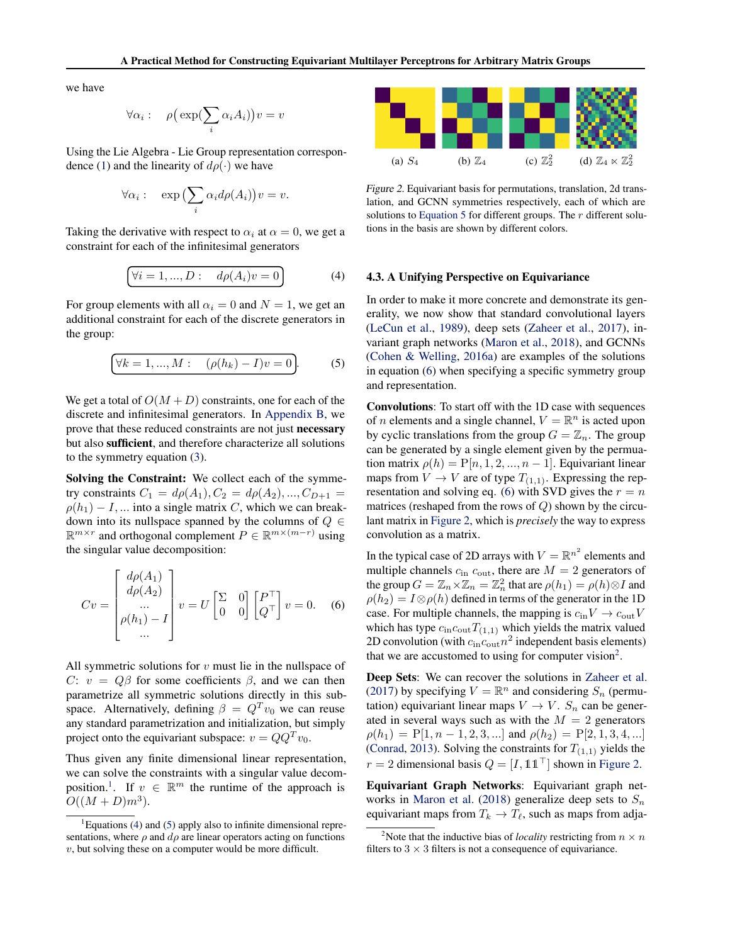<span id="page-3-0"></span>we have

$$
\forall \alpha_i: \quad \rho\big(\exp(\sum_i \alpha_i A_i)\big)v = v
$$

Using the Lie Algebra - Lie Group representation correspon-dence [\(1\)](#page-2-0) and the linearity of  $d\rho(\cdot)$  we have

$$
\forall \alpha_i: \quad \exp\left(\sum_i \alpha_i d\rho(A_i)\right)v = v.
$$

Taking the derivative with respect to  $\alpha_i$  at  $\alpha = 0$ , we get a constraint for each of the infinitesimal generators

$$
\forall i = 1, ..., D: \quad d\rho(A_i)v = 0
$$
 (4)

For group elements with all  $\alpha_i = 0$  and  $N = 1$ , we get an additional constraint for each of the discrete generators in the group:

$$
\forall k = 1, ..., M: \quad (\rho(h_k) - I)v = 0.
$$
 (5)

We get a total of  $O(M+D)$  constraints, one for each of the discrete and infinitesimal generators. In [Appendix B,](#page-11-0) we prove that these reduced constraints are not just necessary but also sufficient, and therefore characterize all solutions to the symmetry equation [\(3\)](#page-2-0).

Solving the Constraint: We collect each of the symmetry constraints  $C_1 = d\rho(A_1), C_2 = d\rho(A_2), ..., C_{D+1} =$  $\rho(h_1) - I$ , ... into a single matrix C, which we can breakdown into its nullspace spanned by the columns of  $Q \in$  $\mathbb{R}^{m \times r}$  and orthogonal complement  $P \in \mathbb{R}^{m \times (m-r)}$  using the singular value decomposition:

$$
Cv = \begin{bmatrix} d\rho(A_1) \\ d\rho(A_2) \\ \dots \\ \rho(h_1) - I \\ \dots \end{bmatrix} v = U \begin{bmatrix} \Sigma & 0 \\ 0 & 0 \end{bmatrix} \begin{bmatrix} P^{\top} \\ Q^{\top} \end{bmatrix} v = 0.
$$
 (6)

All symmetric solutions for  $v$  must lie in the nullspace of C:  $v = Q\beta$  for some coefficients  $\beta$ , and we can then parametrize all symmetric solutions directly in this subspace. Alternatively, defining  $\beta = Q^T v_0$  we can reuse any standard parametrization and initialization, but simply project onto the equivariant subspace:  $v = QQ<sup>T</sup>v<sub>0</sub>$ .

Thus given any finite dimensional linear representation, we can solve the constraints with a singular value decomposition.<sup>1</sup>. If  $v \in \mathbb{R}^m$  the runtime of the approach is  $O((M+D)m^3)$ .



Figure 2. Equivariant basis for permutations, translation, 2d translation, and GCNN symmetries respectively, each of which are solutions to Equation 5 for different groups. The  $r$  different solutions in the basis are shown by different colors.

#### 4.3. A Unifying Perspective on Equivariance

In order to make it more concrete and demonstrate its generality, we now show that standard convolutional layers [\(LeCun et al.,](#page-9-0) [1989\)](#page-9-0), deep sets [\(Zaheer et al.,](#page-10-0) [2017\)](#page-10-0), invariant graph networks [\(Maron et al.,](#page-9-0) [2018\)](#page-9-0), and GCNNs [\(Cohen & Welling,](#page-8-0) [2016a\)](#page-8-0) are examples of the solutions in equation (6) when specifying a specific symmetry group and representation.

Convolutions: To start off with the 1D case with sequences of *n* elements and a single channel,  $V = \mathbb{R}^n$  is acted upon by cyclic translations from the group  $G = \mathbb{Z}_n$ . The group can be generated by a single element given by the permuation matrix  $\rho(h) = P[n, 1, 2, ..., n-1]$ . Equivariant linear maps from  $V \to V$  are of type  $T_{(1,1)}$ . Expressing the representation and solving eq. (6) with SVD gives the  $r = n$ matrices (reshaped from the rows of  $Q$ ) shown by the circulant matrix in Figure 2, which is *precisely* the way to express convolution as a matrix.

In the typical case of 2D arrays with  $V = \mathbb{R}^{n^2}$  elements and multiple channels  $c_{\text{in}} c_{\text{out}}$ , there are  $M = 2$  generators of the group  $G = \mathbb{Z}_n \times \mathbb{Z}_n = \mathbb{Z}_n^2$  that are  $\rho(h_1) = \rho(h) \otimes I$  and  $\rho(h_2) = I \otimes \rho(h)$  defined in terms of the generator in the 1D case. For multiple channels, the mapping is  $c_{\text{in}}V \rightarrow c_{\text{out}}V$ which has type  $c_{\text{in}}c_{\text{out}}T_{(1,1)}$  which yields the matrix valued 2D convolution (with  $c_{\text{in}}c_{\text{out}}n^2$  independent basis elements) that we are accustomed to using for computer vision<sup>2</sup>.

Deep Sets: We can recover the solutions in [Zaheer et al.](#page-10-0) [\(2017\)](#page-10-0) by specifying  $V = \mathbb{R}^n$  and considering  $S_n$  (permutation) equivariant linear maps  $V \to V$ .  $S_n$  can be generated in several ways such as with the  $M = 2$  generators  $\rho(h_1) = P[1, n-1, 2, 3, \ldots]$  and  $\rho(h_2) = P[2, 1, 3, 4, \ldots]$ [\(Conrad,](#page-8-0) [2013\)](#page-8-0). Solving the constraints for  $T_{(1,1)}$  yields the  $r = 2$  dimensional basis  $Q = [I, 11<sup>T</sup>]$  shown in Figure 2.

Equivariant Graph Networks: Equivariant graph net-works in [Maron et al.](#page-9-0) [\(2018\)](#page-9-0) generalize deep sets to  $S_n$ equivariant maps from  $T_k \to T_\ell$ , such as maps from adja-

 ${}^{1}$ Equations (4) and (5) apply also to infinite dimensional representations, where  $\rho$  and  $d\rho$  are linear operators acting on functions  $v$ , but solving these on a computer would be more difficult.

<sup>&</sup>lt;sup>2</sup>Note that the inductive bias of *locality* restricting from  $n \times n$ filters to  $3 \times 3$  filters is not a consequence of equivariance.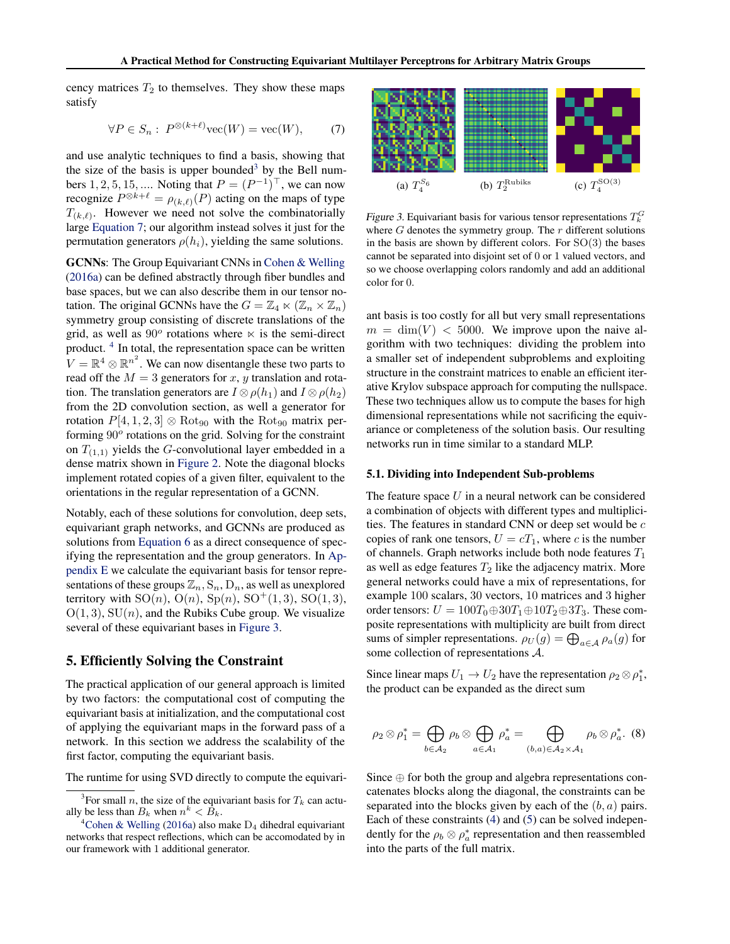<span id="page-4-0"></span>cency matrices  $T_2$  to themselves. They show these maps satisfy

$$
\forall P \in S_n: P^{\otimes (k+\ell)}\text{vec}(W) = \text{vec}(W), \quad (7)
$$

and use analytic techniques to find a basis, showing that the size of the basis is upper bounded<sup>3</sup> by the Bell numbers 1, 2, 5, 15, .... Noting that  $P = (P^{-1})^{\top}$ , we can now recognize  $P^{\otimes k+\ell} = \rho_{(k,\ell)}(P)$  acting on the maps of type  $T_{(k,\ell)}$ . However we need not solve the combinatorially large Equation 7; our algorithm instead solves it just for the permutation generators  $\rho(h_i)$ , yielding the same solutions.

GCNNs: The Group Equivariant CNNs in [Cohen & Welling](#page-8-0) [\(2016a\)](#page-8-0) can be defined abstractly through fiber bundles and base spaces, but we can also describe them in our tensor notation. The original GCNNs have the  $G = \mathbb{Z}_4 \ltimes (\mathbb{Z}_n \times \mathbb{Z}_n)$ symmetry group consisting of discrete translations of the grid, as well as  $90^{\circ}$  rotations where  $\times$  is the semi-direct product.<sup>4</sup> In total, the representation space can be written  $V = \mathbb{R}^4 \otimes \mathbb{R}^{n^2}$ . We can now disentangle these two parts to read off the  $M = 3$  generators for x, y translation and rotation. The translation generators are  $I \otimes \rho(h_1)$  and  $I \otimes \rho(h_2)$ from the 2D convolution section, as well a generator for rotation  $P[4, 1, 2, 3] \otimes \text{Rot}_{90}$  with the Rot<sub>90</sub> matrix performing 90° rotations on the grid. Solving for the constraint on  $T_{(1,1)}$  yields the G-convolutional layer embedded in a dense matrix shown in [Figure 2.](#page-3-0) Note the diagonal blocks implement rotated copies of a given filter, equivalent to the orientations in the regular representation of a GCNN.

Notably, each of these solutions for convolution, deep sets, equivariant graph networks, and GCNNs are produced as solutions from [Equation 6](#page-3-0) as a direct consequence of specifying the representation and the group generators. In [Ap](#page-13-0)[pendix E](#page-13-0) we calculate the equivariant basis for tensor representations of these groups  $\mathbb{Z}_n$ ,  $S_n$ ,  $D_n$ , as well as unexplored territory with  $SO(n)$ ,  $O(n)$ ,  $Sp(n)$ ,  $SO^+(1, 3)$ ,  $SO(1, 3)$ ,  $O(1, 3)$ ,  $SU(n)$ , and the Rubiks Cube group. We visualize several of these equivariant bases in Figure 3.

### 5. Efficiently Solving the Constraint

The practical application of our general approach is limited by two factors: the computational cost of computing the equivariant basis at initialization, and the computational cost of applying the equivariant maps in the forward pass of a network. In this section we address the scalability of the first factor, computing the equivariant basis.

The runtime for using SVD directly to compute the equivari-



Figure 3. Equivariant basis for various tensor representations  $T_k^G$ where  $G$  denotes the symmetry group. The  $r$  different solutions in the basis are shown by different colors. For  $SO(3)$  the bases cannot be separated into disjoint set of 0 or 1 valued vectors, and so we choose overlapping colors randomly and add an additional color for 0.

ant basis is too costly for all but very small representations  $m = \dim(V)$  < 5000. We improve upon the naive algorithm with two techniques: dividing the problem into a smaller set of independent subproblems and exploiting structure in the constraint matrices to enable an efficient iterative Krylov subspace approach for computing the nullspace. These two techniques allow us to compute the bases for high dimensional representations while not sacrificing the equivariance or completeness of the solution basis. Our resulting networks run in time similar to a standard MLP.

#### 5.1. Dividing into Independent Sub-problems

The feature space  $U$  in a neural network can be considered a combination of objects with different types and multiplicities. The features in standard CNN or deep set would be  $c$ copies of rank one tensors,  $U = cT_1$ , where c is the number of channels. Graph networks include both node features  $T_1$ as well as edge features  $T_2$  like the adjacency matrix. More general networks could have a mix of representations, for example 100 scalars, 30 vectors, 10 matrices and 3 higher order tensors:  $U = 100T_0 \oplus 30T_1 \oplus 10T_2 \oplus 3T_3$ . These composite representations with multiplicity are built from direct sums of simpler representations.  $\rho_U(g) = \bigoplus_{a \in \mathcal{A}} \rho_a(g)$  for some collection of representations A.

Since linear maps  $U_1 \rightarrow U_2$  have the representation  $\rho_2 \otimes \rho_1^*$ , the product can be expanded as the direct sum

$$
\rho_2 \otimes \rho_1^* = \bigoplus_{b \in \mathcal{A}_2} \rho_b \otimes \bigoplus_{a \in \mathcal{A}_1} \rho_a^* = \bigoplus_{(b,a) \in \mathcal{A}_2 \times \mathcal{A}_1} \rho_b \otimes \rho_a^*.
$$
 (8)

Since  $\oplus$  for both the group and algebra representations concatenates blocks along the diagonal, the constraints can be separated into the blocks given by each of the  $(b, a)$  pairs. Each of these constraints [\(4\)](#page-3-0) and [\(5\)](#page-3-0) can be solved independently for the  $\rho_b \otimes \rho_a^*$  representation and then reassembled into the parts of the full matrix.

<sup>&</sup>lt;sup>3</sup>For small *n*, the size of the equivariant basis for  $T_k$  can actually be less than  $B_k$  when  $n^k < \overline{B}_k$ .

<sup>&</sup>lt;sup>4</sup>[Cohen & Welling](#page-8-0) [\(2016a\)](#page-8-0) also make  $D_4$  dihedral equivariant networks that respect reflections, which can be accomodated by in our framework with 1 additional generator.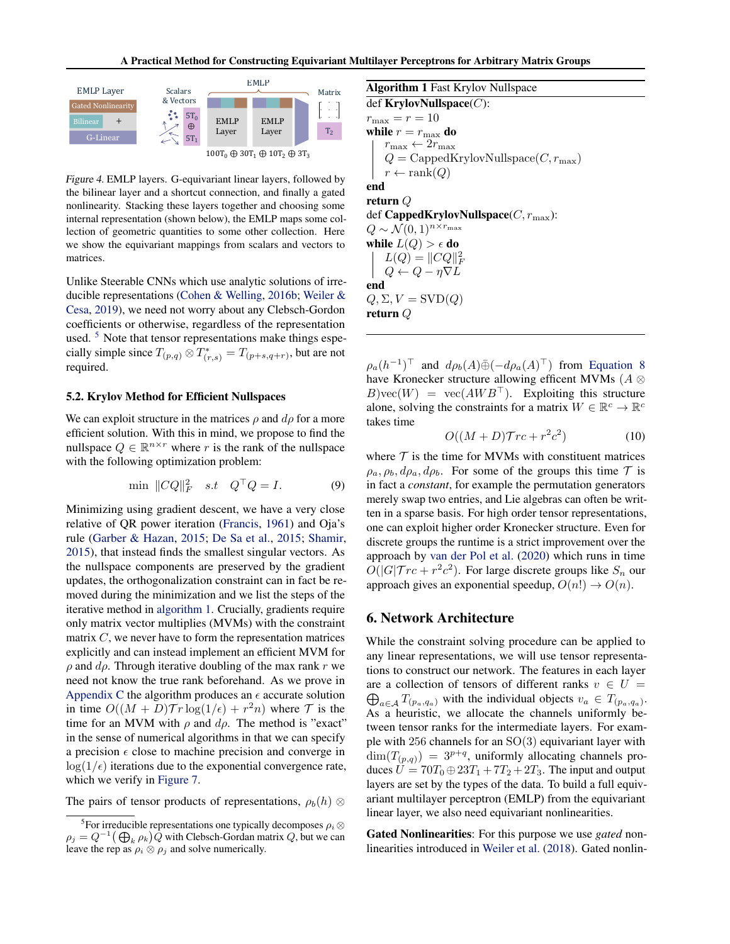<span id="page-5-0"></span>

Figure 4. EMLP layers. G-equivariant linear layers, followed by the bilinear layer and a shortcut connection, and finally a gated nonlinearity. Stacking these layers together and choosing some internal representation (shown below), the EMLP maps some collection of geometric quantities to some other collection. Here we show the equivariant mappings from scalars and vectors to matrices.

Unlike Steerable CNNs which use analytic solutions of irreducible representations [\(Cohen & Welling,](#page-8-0) [2016b;](#page-8-0) [Weiler &](#page-10-0) [Cesa,](#page-10-0) [2019\)](#page-10-0), we need not worry about any Clebsch-Gordon coefficients or otherwise, regardless of the representation used. <sup>5</sup> Note that tensor representations make things especially simple since  $T_{(p,q)} \otimes T^*_{(r,s)} = T_{(p+s,q+r)}$ , but are not required.

#### 5.2. Krylov Method for Efficient Nullspaces

We can exploit structure in the matrices  $\rho$  and  $d\rho$  for a more efficient solution. With this in mind, we propose to find the nullspace  $Q \in \mathbb{R}^{n \times r}$  where r is the rank of the nullspace with the following optimization problem:

$$
\min \|CQ\|_F^2 \quad s.t \quad Q^\top Q = I. \tag{9}
$$

Minimizing using gradient descent, we have a very close relative of QR power iteration [\(Francis,](#page-9-0) [1961\)](#page-9-0) and Oja's rule [\(Garber & Hazan,](#page-9-0) [2015;](#page-9-0) [De Sa et al.,](#page-8-0) [2015;](#page-8-0) [Shamir,](#page-9-0) [2015\)](#page-9-0), that instead finds the smallest singular vectors. As the nullspace components are preserved by the gradient updates, the orthogonalization constraint can in fact be removed during the minimization and we list the steps of the iterative method in algorithm 1. Crucially, gradients require only matrix vector multiplies (MVMs) with the constraint matrix  $C$ , we never have to form the representation matrices explicitly and can instead implement an efficient MVM for  $\rho$  and  $d\rho$ . Through iterative doubling of the max rank r we need not know the true rank beforehand. As we prove in [Appendix C](#page-11-0) the algorithm produces an  $\epsilon$  accurate solution in time  $O((M + D) \mathcal{T}r \log(1/\epsilon) + r^2 n)$  where  $\mathcal{T}$  is the time for an MVM with  $\rho$  and  $d\rho$ . The method is "exact" in the sense of numerical algorithms in that we can specify a precision  $\epsilon$  close to machine precision and converge in  $\log(1/\epsilon)$  iterations due to the exponential convergence rate, which we verify in [Figure 7.](#page-12-0)

The pairs of tensor products of representations,  $\rho_h(h)$  ⊗

Algorithm 1 Fast Krylov Nullspace def KrylovNullspace $(C)$ :  $r_{\text{max}} = r = 10$ while  $r=r_{\mathrm{max}}$  do  $r_{\max} \leftarrow 2 r_{\max}$  $Q = \text{CappedKrylovNullspace}(C, r_{\text{max}})$  $r \leftarrow \text{rank}(Q)$ end return Q def CappedKrylovNullspace $(C, r_{\text{max}})$ :  $Q \sim \mathcal{N}(0, 1)^{n \times r_{\text{max}}}$ while  $L(Q) > \epsilon$  do  $L(Q) = ||CQ||_F^2$  $Q \leftarrow Q - \eta \nabla L$ end  $Q, \Sigma, V =$ SVD $(Q)$ return Q

 $\rho_a(h^{-1})^{\top}$  and  $d\rho_b(A)\bar{\oplus}(-d\rho_a(A)^{\top})$  from [Equation 8](#page-4-0) have Kronecker structure allowing efficent MVMs ( $A \otimes$  $B$ )vec(W) = vec( $AWB^{\dagger}$ ). Exploiting this structure alone, solving the constraints for a matrix  $W \in \mathbb{R}^c \to \mathbb{R}^c$ takes time

$$
O((M+D)\mathcal{T}rc + r^2c^2)
$$
 (10)

where  $T$  is the time for MVMs with constituent matrices  $\rho_a$ ,  $\rho_b$ ,  $d\rho_a$ ,  $d\rho_b$ . For some of the groups this time  $\mathcal T$  is in fact a *constant*, for example the permutation generators merely swap two entries, and Lie algebras can often be written in a sparse basis. For high order tensor representations, one can exploit higher order Kronecker structure. Even for discrete groups the runtime is a strict improvement over the approach by [van der Pol et al.](#page-9-0) [\(2020\)](#page-9-0) which runs in time  $O(|G| \mathcal{T} r c + r^2 c^2)$ . For large discrete groups like  $S_n$  our approach gives an exponential speedup,  $O(n!) \rightarrow O(n)$ .

### 6. Network Architecture

While the constraint solving procedure can be applied to any linear representations, we will use tensor representations to construct our network. The features in each layer are a collection of tensors of different ranks  $v \in U =$  $\bigoplus_{a \in \mathcal{A}} T_{(p_a, q_a)}$  with the individual objects  $v_a \in T_{(p_a, q_a)}$ . As a heuristic, we allocate the channels uniformly between tensor ranks for the intermediate layers. For example with 256 channels for an  $SO(3)$  equivariant layer with  $\dim(T_{(p,q)}) = 3^{p+q}$ , uniformly allocating channels produces  $U = 70T_0 \oplus 23T_1 + 7T_2 + 2T_3$ . The input and output layers are set by the types of the data. To build a full equivariant multilayer perceptron (EMLP) from the equivariant linear layer, we also need equivariant nonlinearities.

Gated Nonlinearities: For this purpose we use *gated* nonlinearities introduced in [Weiler et al.](#page-10-0) [\(2018\)](#page-10-0). Gated nonlin-

<sup>&</sup>lt;sup>5</sup> For irreducible representations one typically decomposes  $\rho_i \otimes$  $\rho_j = Q^{-1} (\bigoplus_k \rho_k) \hat{Q}$  with Clebsch-Gordan matrix  $Q$ , but we can leave the rep as  $\rho_i \otimes \rho_j$  and solve numerically.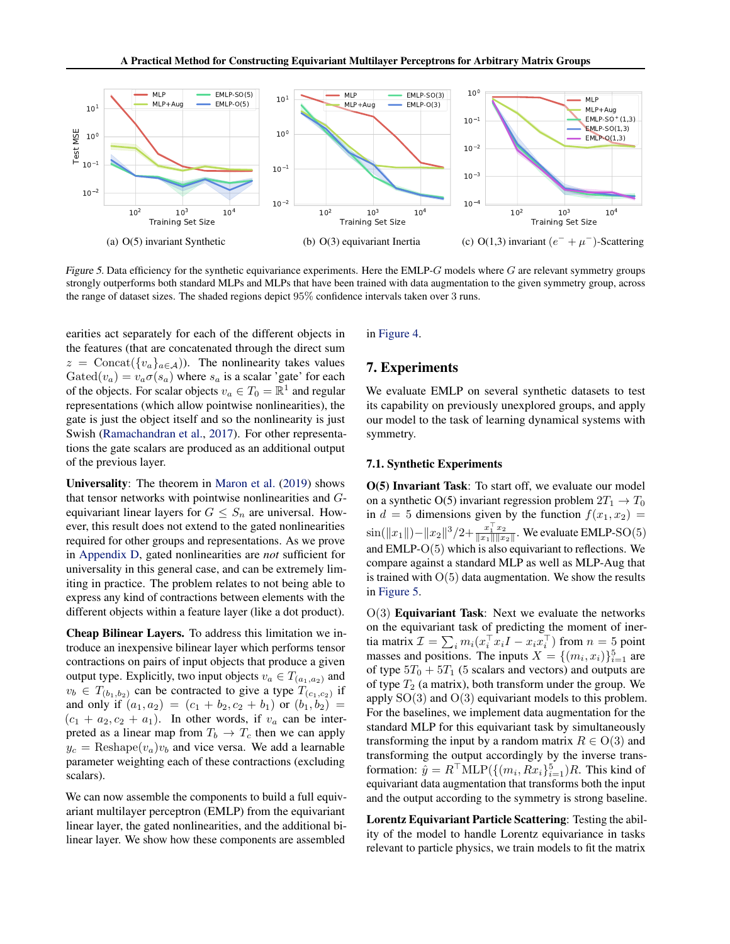<span id="page-6-0"></span>

Figure 5. Data efficiency for the synthetic equivariance experiments. Here the EMLP- $G$  models where  $G$  are relevant symmetry groups strongly outperforms both standard MLPs and MLPs that have been trained with data augmentation to the given symmetry group, across the range of dataset sizes. The shaded regions depict 95% confidence intervals taken over 3 runs.

earities act separately for each of the different objects in the features (that are concatenated through the direct sum  $z = \text{Concat}(\{v_a\}_{a \in \mathcal{A}})$ . The nonlinearity takes values Gated( $v_a$ ) =  $v_a \sigma(s_a)$  where  $s_a$  is a scalar 'gate' for each of the objects. For scalar objects  $v_a \in T_0 = \mathbb{R}^1$  and regular representations (which allow pointwise nonlinearities), the gate is just the object itself and so the nonlinearity is just Swish [\(Ramachandran et al.,](#page-9-0) [2017\)](#page-9-0). For other representations the gate scalars are produced as an additional output of the previous layer.

Universality: The theorem in [Maron et al.](#page-9-0) [\(2019\)](#page-9-0) shows that tensor networks with pointwise nonlinearities and Gequivariant linear layers for  $G \leq S_n$  are universal. However, this result does not extend to the gated nonlinearities required for other groups and representations. As we prove in [Appendix D,](#page-13-0) gated nonlinearities are *not* sufficient for universality in this general case, and can be extremely limiting in practice. The problem relates to not being able to express any kind of contractions between elements with the different objects within a feature layer (like a dot product).

Cheap Bilinear Layers. To address this limitation we introduce an inexpensive bilinear layer which performs tensor contractions on pairs of input objects that produce a given output type. Explicitly, two input objects  $v_a \in T_{(a_1,a_2)}$  and  $v_b \in T_{(b_1,b_2)}$  can be contracted to give a type  $T_{(c_1,c_2)}$  if and only if  $(a_1, a_2) = (c_1 + b_2, c_2 + b_1)$  or  $(b_1, b_2) =$  $(c_1 + a_2, c_2 + a_1)$ . In other words, if  $v_a$  can be interpreted as a linear map from  $T_b \rightarrow T_c$  then we can apply  $y_c = \text{Reshape}(v_a)v_b$  and vice versa. We add a learnable parameter weighting each of these contractions (excluding scalars).

We can now assemble the components to build a full equivariant multilayer perceptron (EMLP) from the equivariant linear layer, the gated nonlinearities, and the additional bilinear layer. We show how these components are assembled

in [Figure 4.](#page-5-0)

# 7. Experiments

We evaluate EMLP on several synthetic datasets to test its capability on previously unexplored groups, and apply our model to the task of learning dynamical systems with symmetry.

#### 7.1. Synthetic Experiments

O(5) Invariant Task: To start off, we evaluate our model on a synthetic O(5) invariant regression problem  $2T_1 \rightarrow T_0$ in  $d = 5$  dimensions given by the function  $f(x_1, x_2) =$  $\sin(\|x_1\|)-\|x_2\|^3/2+\frac{x_1^\top x_2}{\|x_1\|\|x_2\|}$ . We evaluate EMLP-SO(5) and EMLP-O(5) which is also equivariant to reflections. We compare against a standard MLP as well as MLP-Aug that is trained with  $O(5)$  data augmentation. We show the results in Figure 5.

 $O(3)$  **Equivariant Task:** Next we evaluate the networks on the equivariant task of predicting the moment of inertia matrix  $\mathcal{I} = \sum_i m_i (x_i^\top x_i I - x_i x_i^\top)$  from  $n = 5$  point masses and positions. The inputs  $X = \{(m_i, x_i)\}_{i=1}^5$  are of type  $5T_0 + 5T_1$  (5 scalars and vectors) and outputs are of type  $T_2$  (a matrix), both transform under the group. We apply  $SO(3)$  and  $O(3)$  equivariant models to this problem. For the baselines, we implement data augmentation for the standard MLP for this equivariant task by simultaneously transforming the input by a random matrix  $R \in O(3)$  and transforming the output accordingly by the inverse transformation:  $\hat{y} = R^{\top}MLP(\{(m_i, Rx_i\}_{i=1}^5)R)$ . This kind of equivariant data augmentation that transforms both the input and the output according to the symmetry is strong baseline.

Lorentz Equivariant Particle Scattering: Testing the ability of the model to handle Lorentz equivariance in tasks relevant to particle physics, we train models to fit the matrix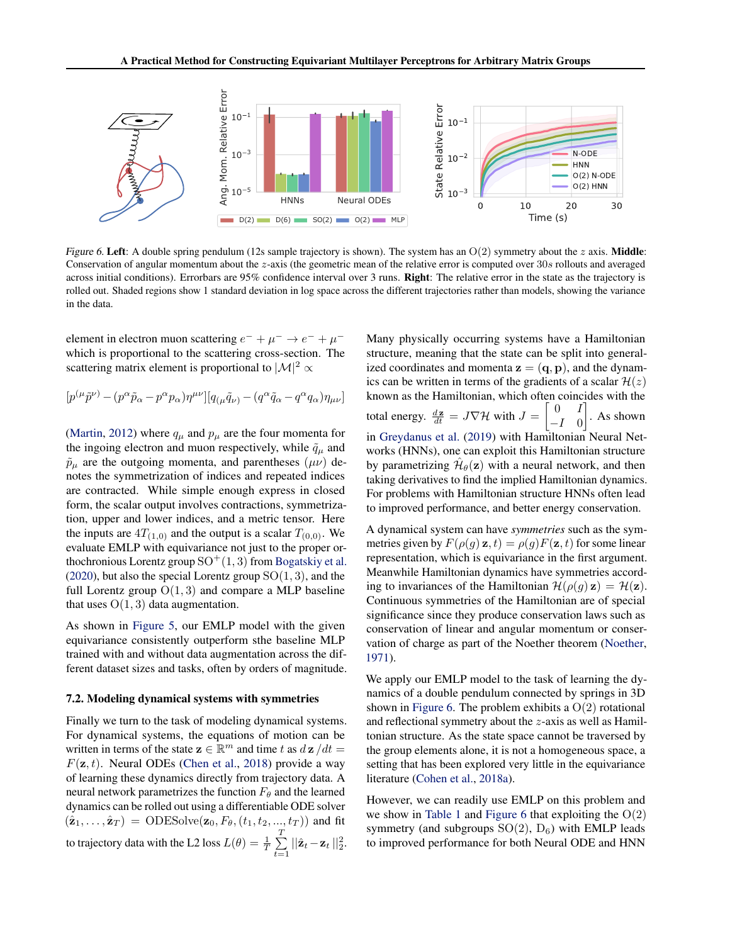

Figure 6. Left: A double spring pendulum (12s sample trajectory is shown). The system has an  $O(2)$  symmetry about the z axis. Middle: Conservation of angular momentum about the z-axis (the geometric mean of the relative error is computed over 30s rollouts and averaged across initial conditions). Errorbars are 95% confidence interval over 3 runs. Right: The relative error in the state as the trajectory is rolled out. Shaded regions show 1 standard deviation in log space across the different trajectories rather than models, showing the variance in the data.

element in electron muon scattering  $e^- + \mu^- \rightarrow e^- + \mu^$ which is proportional to the scattering cross-section. The scattering matrix element is proportional to  $|\mathcal{M}|^2 \propto$ 

$$
[p^{(\mu}\tilde{p}^{\nu)}-(p^{\alpha}\tilde{p}_{\alpha}-p^{\alpha}p_{\alpha})\eta^{\mu\nu}][q_{(\mu}\tilde{q}_{\nu)}-(q^{\alpha}\tilde{q}_{\alpha}-q^{\alpha}q_{\alpha})\eta_{\mu\nu}]
$$

[\(Martin,](#page-9-0) [2012\)](#page-9-0) where  $q_{\mu}$  and  $p_{\mu}$  are the four momenta for the ingoing electron and muon respectively, while  $\tilde{q}_{\mu}$  and  $\tilde{p}_{\mu}$  are the outgoing momenta, and parentheses  $(\mu\nu)$  denotes the symmetrization of indices and repeated indices are contracted. While simple enough express in closed form, the scalar output involves contractions, symmetrization, upper and lower indices, and a metric tensor. Here the inputs are  $4T_{(1,0)}$  and the output is a scalar  $T_{(0,0)}$ . We evaluate EMLP with equivariance not just to the proper orthochronious Lorentz group  $SO^+(1, 3)$  from [Bogatskiy et al.](#page-8-0) [\(2020\)](#page-8-0), but also the special Lorentz group  $SO(1, 3)$ , and the full Lorentz group  $O(1, 3)$  and compare a MLP baseline that uses  $O(1, 3)$  data augmentation.

As shown in [Figure 5,](#page-6-0) our EMLP model with the given equivariance consistently outperform sthe baseline MLP trained with and without data augmentation across the different dataset sizes and tasks, often by orders of magnitude.

#### 7.2. Modeling dynamical systems with symmetries

Finally we turn to the task of modeling dynamical systems. For dynamical systems, the equations of motion can be written in terms of the state  $\mathbf{z} \in \mathbb{R}^m$  and time t as  $d\mathbf{z}/dt =$  $F(\mathbf{z}, t)$ . Neural ODEs [\(Chen et al.,](#page-8-0) [2018\)](#page-8-0) provide a way of learning these dynamics directly from trajectory data. A neural network parametrizes the function  $F_{\theta}$  and the learned dynamics can be rolled out using a differentiable ODE solver  $(\hat{\mathbf{z}}_1, ..., \hat{\mathbf{z}}_T) = \text{ODESolve}(\mathbf{z}_0, F_{\theta}, (t_1, t_2, ..., t_T))$  and fit to trajectory data with the L2 loss  $L(\theta) = \frac{1}{T} \sum_{i=1}^{T}$  $\sum_{t=1}^{n} ||\hat{\mathbf{z}}_t - \mathbf{z}_t||_2^2.$  Many physically occurring systems have a Hamiltonian structure, meaning that the state can be split into generalized coordinates and momenta  $z = (q, p)$ , and the dynamics can be written in terms of the gradients of a scalar  $\mathcal{H}(z)$ known as the Hamiltonian, which often coincides with the total energy.  $\frac{d\mathbf{z}}{dt} = J\nabla \mathcal{H}$  with  $J =$  $\begin{bmatrix} 0 & I \end{bmatrix}$  $-I \quad 0$  $\Big]$ . As shown in [Greydanus et al.](#page-9-0) [\(2019\)](#page-9-0) with Hamiltonian Neural Networks (HNNs), one can exploit this Hamiltonian structure by parametrizing  $\hat{\mathcal{H}}_{\theta}(\mathbf{z})$  with a neural network, and then taking derivatives to find the implied Hamiltonian dynamics. For problems with Hamiltonian structure HNNs often lead to improved performance, and better energy conservation.

A dynamical system can have *symmetries* such as the symmetries given by  $F(\rho(q) z, t) = \rho(q) F(z, t)$  for some linear representation, which is equivariance in the first argument. Meanwhile Hamiltonian dynamics have symmetries according to invariances of the Hamiltonian  $\mathcal{H}(\rho(q) \mathbf{z}) = \mathcal{H}(\mathbf{z})$ . Continuous symmetries of the Hamiltonian are of special significance since they produce conservation laws such as conservation of linear and angular momentum or conservation of charge as part of the Noether theorem [\(Noether,](#page-9-0) [1971\)](#page-9-0).

We apply our EMLP model to the task of learning the dynamics of a double pendulum connected by springs in 3D shown in Figure 6. The problem exhibits a  $O(2)$  rotational and reflectional symmetry about the z-axis as well as Hamiltonian structure. As the state space cannot be traversed by the group elements alone, it is not a homogeneous space, a setting that has been explored very little in the equivariance literature [\(Cohen et al.,](#page-8-0) [2018a\)](#page-8-0).

However, we can readily use EMLP on this problem and we show in [Table 1](#page-8-0) and Figure 6 that exploiting the  $O(2)$ symmetry (and subgroups  $SO(2)$ ,  $D_6$ ) with EMLP leads to improved performance for both Neural ODE and HNN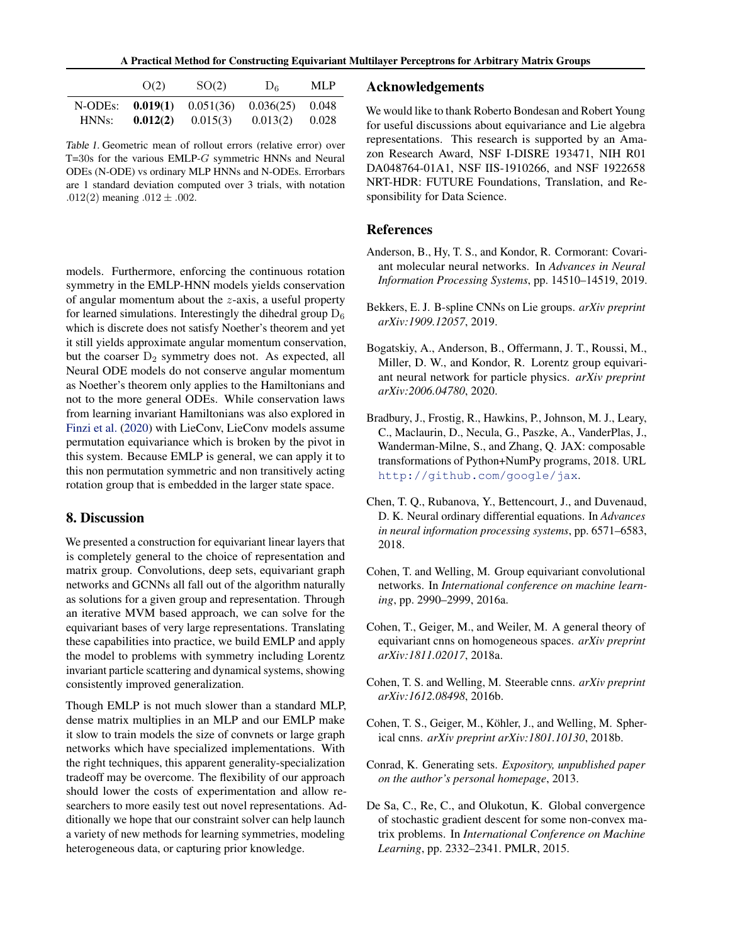A Practical Method for Constructing Equivariant Multilayer Perceptrons for Arbitrary Matrix Groups

<span id="page-8-0"></span>

|         | O(2)     | SO(2)     | $D_6$     | ML P  |
|---------|----------|-----------|-----------|-------|
| N-ODEs: | 0.019(1) | 0.051(36) | 0.036(25) | 0.048 |
| HNNs:   | 0.012(2) | 0.015(3)  | 0.013(2)  | 0.028 |

Table 1. Geometric mean of rollout errors (relative error) over T=30s for the various EMLP-G symmetric HNNs and Neural ODEs (N-ODE) vs ordinary MLP HNNs and N-ODEs. Errorbars are 1 standard deviation computed over 3 trials, with notation .012(2) meaning  $.012 \pm .002$ .

models. Furthermore, enforcing the continuous rotation symmetry in the EMLP-HNN models yields conservation of angular momentum about the z-axis, a useful property for learned simulations. Interestingly the dihedral group  $D_6$ which is discrete does not satisfy Noether's theorem and yet it still yields approximate angular momentum conservation, but the coarser  $D_2$  symmetry does not. As expected, all Neural ODE models do not conserve angular momentum as Noether's theorem only applies to the Hamiltonians and not to the more general ODEs. While conservation laws from learning invariant Hamiltonians was also explored in [Finzi et al.](#page-9-0) [\(2020\)](#page-9-0) with LieConv, LieConv models assume permutation equivariance which is broken by the pivot in this system. Because EMLP is general, we can apply it to this non permutation symmetric and non transitively acting rotation group that is embedded in the larger state space.

### 8. Discussion

We presented a construction for equivariant linear layers that is completely general to the choice of representation and matrix group. Convolutions, deep sets, equivariant graph networks and GCNNs all fall out of the algorithm naturally as solutions for a given group and representation. Through an iterative MVM based approach, we can solve for the equivariant bases of very large representations. Translating these capabilities into practice, we build EMLP and apply the model to problems with symmetry including Lorentz invariant particle scattering and dynamical systems, showing consistently improved generalization.

Though EMLP is not much slower than a standard MLP, dense matrix multiplies in an MLP and our EMLP make it slow to train models the size of convnets or large graph networks which have specialized implementations. With the right techniques, this apparent generality-specialization tradeoff may be overcome. The flexibility of our approach should lower the costs of experimentation and allow researchers to more easily test out novel representations. Additionally we hope that our constraint solver can help launch a variety of new methods for learning symmetries, modeling heterogeneous data, or capturing prior knowledge.

### Acknowledgements

We would like to thank Roberto Bondesan and Robert Young for useful discussions about equivariance and Lie algebra representations. This research is supported by an Amazon Research Award, NSF I-DISRE 193471, NIH R01 DA048764-01A1, NSF IIS-1910266, and NSF 1922658 NRT-HDR: FUTURE Foundations, Translation, and Responsibility for Data Science.

### References

- Anderson, B., Hy, T. S., and Kondor, R. Cormorant: Covariant molecular neural networks. In *Advances in Neural Information Processing Systems*, pp. 14510–14519, 2019.
- Bekkers, E. J. B-spline CNNs on Lie groups. *arXiv preprint arXiv:1909.12057*, 2019.
- Bogatskiy, A., Anderson, B., Offermann, J. T., Roussi, M., Miller, D. W., and Kondor, R. Lorentz group equivariant neural network for particle physics. *arXiv preprint arXiv:2006.04780*, 2020.
- Bradbury, J., Frostig, R., Hawkins, P., Johnson, M. J., Leary, C., Maclaurin, D., Necula, G., Paszke, A., VanderPlas, J., Wanderman-Milne, S., and Zhang, Q. JAX: composable transformations of Python+NumPy programs, 2018. URL <http://github.com/google/jax>.
- Chen, T. Q., Rubanova, Y., Bettencourt, J., and Duvenaud, D. K. Neural ordinary differential equations. In *Advances in neural information processing systems*, pp. 6571–6583, 2018.
- Cohen, T. and Welling, M. Group equivariant convolutional networks. In *International conference on machine learning*, pp. 2990–2999, 2016a.
- Cohen, T., Geiger, M., and Weiler, M. A general theory of equivariant cnns on homogeneous spaces. *arXiv preprint arXiv:1811.02017*, 2018a.
- Cohen, T. S. and Welling, M. Steerable cnns. *arXiv preprint arXiv:1612.08498*, 2016b.
- Cohen, T. S., Geiger, M., Köhler, J., and Welling, M. Spherical cnns. *arXiv preprint arXiv:1801.10130*, 2018b.
- Conrad, K. Generating sets. *Expository, unpublished paper on the author's personal homepage*, 2013.
- De Sa, C., Re, C., and Olukotun, K. Global convergence of stochastic gradient descent for some non-convex matrix problems. In *International Conference on Machine Learning*, pp. 2332–2341. PMLR, 2015.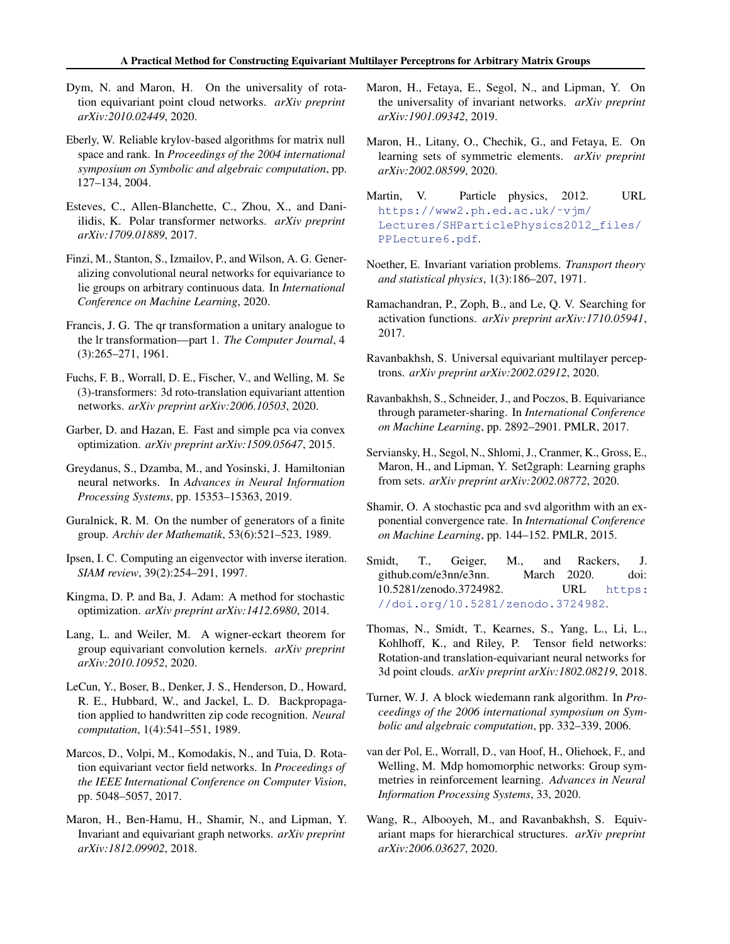- <span id="page-9-0"></span>Dym, N. and Maron, H. On the universality of rotation equivariant point cloud networks. *arXiv preprint arXiv:2010.02449*, 2020.
- Eberly, W. Reliable krylov-based algorithms for matrix null space and rank. In *Proceedings of the 2004 international symposium on Symbolic and algebraic computation*, pp. 127–134, 2004.
- Esteves, C., Allen-Blanchette, C., Zhou, X., and Daniilidis, K. Polar transformer networks. *arXiv preprint arXiv:1709.01889*, 2017.
- Finzi, M., Stanton, S., Izmailov, P., and Wilson, A. G. Generalizing convolutional neural networks for equivariance to lie groups on arbitrary continuous data. In *International Conference on Machine Learning*, 2020.
- Francis, J. G. The qr transformation a unitary analogue to the lr transformation—part 1. *The Computer Journal*, 4 (3):265–271, 1961.
- Fuchs, F. B., Worrall, D. E., Fischer, V., and Welling, M. Se (3)-transformers: 3d roto-translation equivariant attention networks. *arXiv preprint arXiv:2006.10503*, 2020.
- Garber, D. and Hazan, E. Fast and simple pca via convex optimization. *arXiv preprint arXiv:1509.05647*, 2015.
- Greydanus, S., Dzamba, M., and Yosinski, J. Hamiltonian neural networks. In *Advances in Neural Information Processing Systems*, pp. 15353–15363, 2019.
- Guralnick, R. M. On the number of generators of a finite group. *Archiv der Mathematik*, 53(6):521–523, 1989.
- Ipsen, I. C. Computing an eigenvector with inverse iteration. *SIAM review*, 39(2):254–291, 1997.
- Kingma, D. P. and Ba, J. Adam: A method for stochastic optimization. *arXiv preprint arXiv:1412.6980*, 2014.
- Lang, L. and Weiler, M. A wigner-eckart theorem for group equivariant convolution kernels. *arXiv preprint arXiv:2010.10952*, 2020.
- LeCun, Y., Boser, B., Denker, J. S., Henderson, D., Howard, R. E., Hubbard, W., and Jackel, L. D. Backpropagation applied to handwritten zip code recognition. *Neural computation*, 1(4):541–551, 1989.
- Marcos, D., Volpi, M., Komodakis, N., and Tuia, D. Rotation equivariant vector field networks. In *Proceedings of the IEEE International Conference on Computer Vision*, pp. 5048–5057, 2017.
- Maron, H., Ben-Hamu, H., Shamir, N., and Lipman, Y. Invariant and equivariant graph networks. *arXiv preprint arXiv:1812.09902*, 2018.
- Maron, H., Fetaya, E., Segol, N., and Lipman, Y. On the universality of invariant networks. *arXiv preprint arXiv:1901.09342*, 2019.
- Maron, H., Litany, O., Chechik, G., and Fetaya, E. On learning sets of symmetric elements. *arXiv preprint arXiv:2002.08599*, 2020.
- Martin, V. Particle physics, 2012. URL [https://www2.ph.ed.ac.uk/˜vjm/](https://www2.ph.ed.ac.uk/~vjm/Lectures/SHParticlePhysics2012_files/PPLecture6.pdf) [Lectures/SHParticlePhysics2012\\_files/](https://www2.ph.ed.ac.uk/~vjm/Lectures/SHParticlePhysics2012_files/PPLecture6.pdf) [PPLecture6.pdf](https://www2.ph.ed.ac.uk/~vjm/Lectures/SHParticlePhysics2012_files/PPLecture6.pdf).
- Noether, E. Invariant variation problems. *Transport theory and statistical physics*, 1(3):186–207, 1971.
- Ramachandran, P., Zoph, B., and Le, Q. V. Searching for activation functions. *arXiv preprint arXiv:1710.05941*, 2017.
- Ravanbakhsh, S. Universal equivariant multilayer perceptrons. *arXiv preprint arXiv:2002.02912*, 2020.
- Ravanbakhsh, S., Schneider, J., and Poczos, B. Equivariance through parameter-sharing. In *International Conference on Machine Learning*, pp. 2892–2901. PMLR, 2017.
- Serviansky, H., Segol, N., Shlomi, J., Cranmer, K., Gross, E., Maron, H., and Lipman, Y. Set2graph: Learning graphs from sets. *arXiv preprint arXiv:2002.08772*, 2020.
- Shamir, O. A stochastic pca and svd algorithm with an exponential convergence rate. In *International Conference on Machine Learning*, pp. 144–152. PMLR, 2015.
- Smidt, T., Geiger, M., and Rackers, J. github.com/e3nn/e3nn. March 2020. doi: 10.5281/zenodo.3724982. URL [https:](https://doi.org/10.5281/zenodo.3724982) [//doi.org/10.5281/zenodo.3724982](https://doi.org/10.5281/zenodo.3724982).
- Thomas, N., Smidt, T., Kearnes, S., Yang, L., Li, L., Kohlhoff, K., and Riley, P. Tensor field networks: Rotation-and translation-equivariant neural networks for 3d point clouds. *arXiv preprint arXiv:1802.08219*, 2018.
- Turner, W. J. A block wiedemann rank algorithm. In *Proceedings of the 2006 international symposium on Symbolic and algebraic computation*, pp. 332–339, 2006.
- van der Pol, E., Worrall, D., van Hoof, H., Oliehoek, F., and Welling, M. Mdp homomorphic networks: Group symmetries in reinforcement learning. *Advances in Neural Information Processing Systems*, 33, 2020.
- Wang, R., Albooyeh, M., and Ravanbakhsh, S. Equivariant maps for hierarchical structures. *arXiv preprint arXiv:2006.03627*, 2020.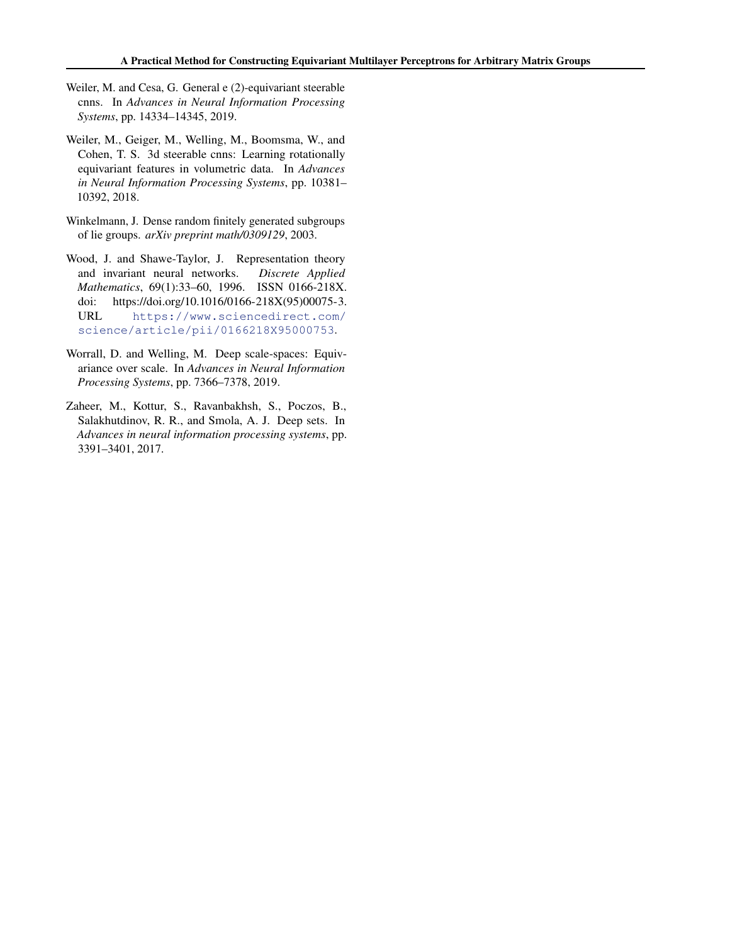- <span id="page-10-0"></span>Weiler, M. and Cesa, G. General e (2)-equivariant steerable cnns. In *Advances in Neural Information Processing Systems*, pp. 14334–14345, 2019.
- Weiler, M., Geiger, M., Welling, M., Boomsma, W., and Cohen, T. S. 3d steerable cnns: Learning rotationally equivariant features in volumetric data. In *Advances in Neural Information Processing Systems*, pp. 10381– 10392, 2018.
- Winkelmann, J. Dense random finitely generated subgroups of lie groups. *arXiv preprint math/0309129*, 2003.
- Wood, J. and Shawe-Taylor, J. Representation theory and invariant neural networks. *Discrete Applied Mathematics*, 69(1):33–60, 1996. ISSN 0166-218X. doi: https://doi.org/10.1016/0166-218X(95)00075-3. URL [https://www.sciencedirect.com/](https://www.sciencedirect.com/science/article/pii/0166218X95000753) [science/article/pii/0166218X95000753](https://www.sciencedirect.com/science/article/pii/0166218X95000753).
- Worrall, D. and Welling, M. Deep scale-spaces: Equivariance over scale. In *Advances in Neural Information Processing Systems*, pp. 7366–7378, 2019.
- Zaheer, M., Kottur, S., Ravanbakhsh, S., Poczos, B., Salakhutdinov, R. R., and Smola, A. J. Deep sets. In *Advances in neural information processing systems*, pp. 3391–3401, 2017.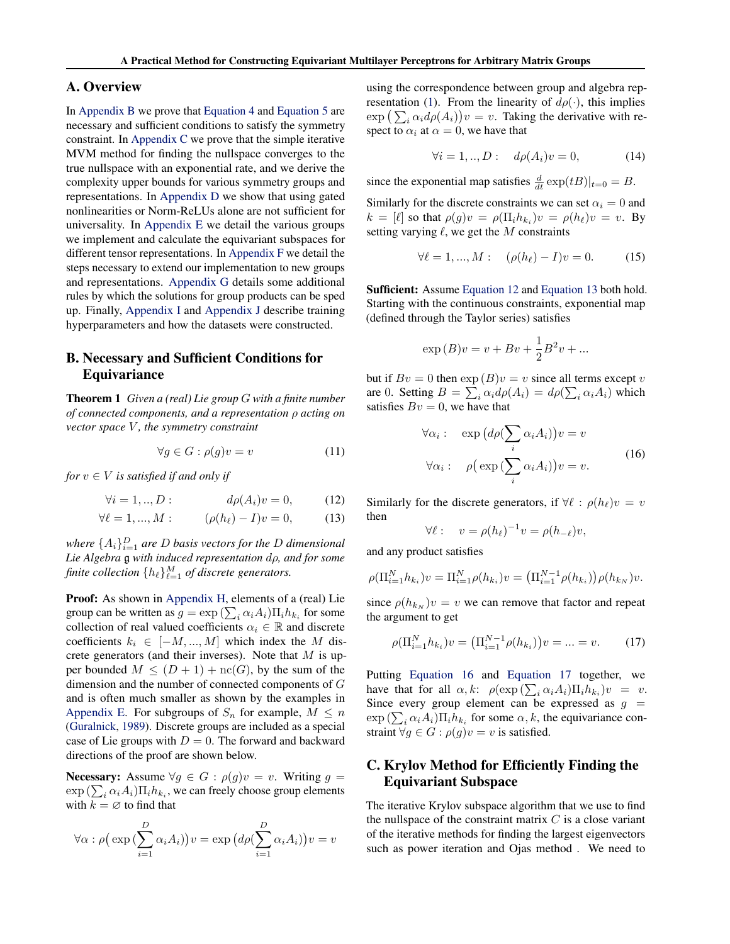### <span id="page-11-0"></span>A. Overview

In Appendix B we prove that [Equation 4](#page-3-0) and [Equation 5](#page-3-0) are necessary and sufficient conditions to satisfy the symmetry constraint. In Appendix C we prove that the simple iterative MVM method for finding the nullspace converges to the true nullspace with an exponential rate, and we derive the complexity upper bounds for various symmetry groups and representations. In [Appendix D](#page-13-0) we show that using gated nonlinearities or Norm-ReLUs alone are not sufficient for universality. In [Appendix E](#page-13-0) we detail the various groups we implement and calculate the equivariant subspaces for different tensor representations. In [Appendix F](#page-16-0) we detail the steps necessary to extend our implementation to new groups and representations. [Appendix G](#page-16-0) details some additional rules by which the solutions for group products can be sped up. Finally, [Appendix I](#page-17-0) and [Appendix J](#page-17-0) describe training hyperparameters and how the datasets were constructed.

### B. Necessary and Sufficient Conditions for **Equivariance**

Theorem 1 *Given a (real) Lie group* G *with a finite number of connected components, and a representation* ρ *acting on vector space* V *, the symmetry constraint*

$$
\forall g \in G : \rho(g)v = v \tag{11}
$$

*for*  $v \in V$  *is satisfied if and only if* 

$$
\forall i = 1, ..., D: \qquad d\rho(A_i)v = 0,\tag{12}
$$

$$
\forall \ell = 1, ..., M: \qquad (\rho(h_{\ell}) - I)v = 0, \qquad (13)
$$

where  $\{A_i\}_{i=1}^D$  are D basis vectors for the D dimensional *Lie Algebra* g *with induced representation* dρ*, and for some* finite collection  $\{h_\ell\}_{\ell=1}^M$  of discrete generators.

Proof: As shown in [Appendix H,](#page-16-0) elements of a (real) Lie group can be written as  $g = \exp\left(\sum_i \alpha_i A_i\right) \prod_i h_{k_i}$  for some collection of real valued coefficients  $\alpha_i \in \mathbb{R}$  and discrete coefficients  $k_i \in [-M, ..., M]$  which index the M discrete generators (and their inverses). Note that  $M$  is upper bounded  $M \leq (D+1) + \operatorname{nc}(G)$ , by the sum of the dimension and the number of connected components of G and is often much smaller as shown by the examples in [Appendix E.](#page-13-0) For subgroups of  $S_n$  for example,  $M \leq n$ [\(Guralnick,](#page-9-0) [1989\)](#page-9-0). Discrete groups are included as a special case of Lie groups with  $D = 0$ . The forward and backward directions of the proof are shown below.

**Necessary:** Assume  $\forall g \in G : \rho(g)v = v$ . Writing  $g =$  $\exp\left(\sum_i \alpha_i A_i\right) \prod_i h_{k_i}$ , we can freely choose group elements with  $k = \emptyset$  to find that

$$
\forall \alpha : \rho \big( \exp \big( \sum_{i=1}^{D} \alpha_i A_i \big) \big) v = \exp \big( d\rho \big( \sum_{i=1}^{D} \alpha_i A_i \big) \big) v = v
$$

using the correspondence between group and algebra rep-resentation [\(1\)](#page-2-0). From the linearity of  $d\rho(\cdot)$ , this implies  $\exp\left(\sum_i \alpha_i d\rho(A_i)\right)v = v$ . Taking the derivative with respect to  $\alpha_i$  at  $\alpha = 0$ , we have that

$$
\forall i = 1, ..., D: \quad d\rho(A_i)v = 0,\tag{14}
$$

since the exponential map satisfies  $\frac{d}{dt} \exp(tB)|_{t=0} = B$ .

Similarly for the discrete constraints we can set  $\alpha_i = 0$  and  $k = [\ell]$  so that  $\rho(g)v = \rho(\Pi_i h_{k_i})v = \rho(h_\ell)v = v$ . By setting varying  $\ell$ , we get the M constraints

$$
\forall \ell = 1, ..., M: \quad (\rho(h_{\ell}) - I)v = 0. \tag{15}
$$

Sufficient: Assume Equation 12 and Equation 13 both hold. Starting with the continuous constraints, exponential map (defined through the Taylor series) satisfies

$$
\exp(B)v = v + Bv + \frac{1}{2}B^2v + \dots
$$

but if  $Bv = 0$  then  $\exp(B)v = v$  since all terms except v are 0. Setting  $B = \sum_i \alpha_i d\rho(A_i) = d\rho(\sum_i \alpha_i A_i)$  which satisfies  $Bv = 0$ , we have that

$$
\forall \alpha_i : \exp (d\rho(\sum_i \alpha_i A_i))v = v
$$
  

$$
\forall \alpha_i : \rho(\exp (\sum_i \alpha_i A_i))v = v.
$$
 (16)

Similarly for the discrete generators, if  $\forall \ell : \rho(h_\ell)v = v$ then

$$
\forall \ell: \quad v = \rho(h_{\ell})^{-1}v = \rho(h_{-\ell})v,
$$

and any product satisfies

$$
\rho(\Pi_{i=1}^N h_{k_i})v = \Pi_{i=1}^N \rho(h_{k_i})v = (\Pi_{i=1}^{N-1} \rho(h_{k_i})) \rho(h_{k_N})v.
$$

since  $\rho(h_{k_N})v = v$  we can remove that factor and repeat the argument to get

$$
\rho(\Pi_{i=1}^{N}h_{k_i})v = (\Pi_{i=1}^{N-1}\rho(h_{k_i}))v = \dots = v.
$$
 (17)

Putting Equation 16 and Equation 17 together, we have that for all  $\alpha, k$ :  $\rho(\exp(\sum_i \alpha_i A_i) \Pi_i h_{k_i}) v = v$ . Since every group element can be expressed as  $g =$  $\exp\left(\sum_i \alpha_i A_i\right) \prod_i h_{k_i}$  for some  $\alpha, k$ , the equivariance constraint  $\forall g \in G : \rho(g)v = v$  is satisfied.

# C. Krylov Method for Efficiently Finding the Equivariant Subspace

The iterative Krylov subspace algorithm that we use to find the nullspace of the constraint matrix  $C$  is a close variant of the iterative methods for finding the largest eigenvectors such as power iteration and Ojas method . We need to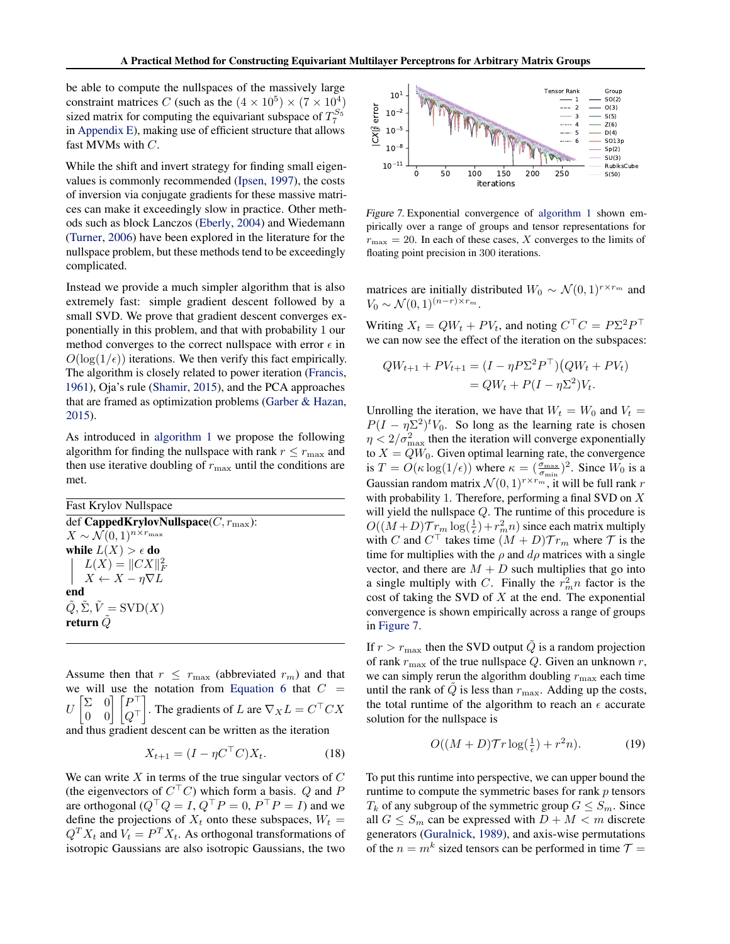<span id="page-12-0"></span>be able to compute the nullspaces of the massively large constraint matrices C (such as the  $(4 \times 10^5) \times (7 \times 10^4)$ sized matrix for computing the equivariant subspace of  $T_7^{S_5}$ in [Appendix E\)](#page-13-0), making use of efficient structure that allows fast MVMs with C.

While the shift and invert strategy for finding small eigenvalues is commonly recommended [\(Ipsen,](#page-9-0) [1997\)](#page-9-0), the costs of inversion via conjugate gradients for these massive matrices can make it exceedingly slow in practice. Other methods such as block Lanczos [\(Eberly,](#page-9-0) [2004\)](#page-9-0) and Wiedemann [\(Turner,](#page-9-0) [2006\)](#page-9-0) have been explored in the literature for the nullspace problem, but these methods tend to be exceedingly complicated.

Instead we provide a much simpler algorithm that is also extremely fast: simple gradient descent followed by a small SVD. We prove that gradient descent converges exponentially in this problem, and that with probability 1 our method converges to the correct nullspace with error  $\epsilon$  in  $O(\log(1/\epsilon))$  iterations. We then verify this fact empirically. The algorithm is closely related to power iteration [\(Francis,](#page-9-0) [1961\)](#page-9-0), Oja's rule [\(Shamir,](#page-9-0) [2015\)](#page-9-0), and the PCA approaches that are framed as optimization problems [\(Garber & Hazan,](#page-9-0) [2015\)](#page-9-0).

As introduced in [algorithm 1](#page-5-0) we propose the following algorithm for finding the nullspace with rank  $r \le r_{\text{max}}$  and then use iterative doubling of  $r_{\text{max}}$  until the conditions are met.

Fast Krylov Nullspace def CappedKrylovNullspace $(C, r_{\text{max}})$ :  $X \sim \mathcal{N}(0, 1)^{n \times r_{\text{max}}}$ while  $L(X) > \epsilon$  do  $L(X) = ||CX||_F^2$  $X \leftarrow X - \eta \nabla L$ end  $\tilde{Q}, \tilde{\Sigma}, \tilde{V} = \text{SVD}(X)$ return  $Q$ 

Assume then that  $r \leq r_{\text{max}}$  (abbreviated  $r_m$ ) and that we will use the notation from [Equation 6](#page-3-0) that  $C =$  $\cal U$  Σ 0  $\begin{bmatrix} \Sigma & 0 \ 0 & 0 \end{bmatrix} \begin{bmatrix} P^\top \ Q^\top \end{bmatrix}$  $\lceil P \rceil$ . The gradients of L are  $\nabla_X L = C^\top C X$ and thus gradient descent can be written as the iteration

$$
X_{t+1} = (I - \eta C^\top C) X_t. \tag{18}
$$

We can write  $X$  in terms of the true singular vectors of  $C$ (the eigenvectors of  $C^{\top}C$ ) which form a basis. Q and P are orthogonal ( $Q^{\top}Q = I$ ,  $Q^{\top}P = 0$ ,  $P^{\top}P = I$ ) and we define the projections of  $X_t$  onto these subspaces,  $W_t =$  $Q^T X_t$  and  $V_t = P^T X_t$ . As orthogonal transformations of isotropic Gaussians are also isotropic Gaussians, the two



Figure 7. Exponential convergence of [algorithm 1](#page-5-0) shown empirically over a range of groups and tensor representations for  $r_{\text{max}} = 20$ . In each of these cases, X converges to the limits of floating point precision in 300 iterations.

matrices are initially distributed  $W_0 \sim \mathcal{N}(0, 1)^{r \times r_m}$  and  $V_0 \sim \mathcal{N}(0, 1)^{(n-r) \times r_m}$ .

Writing  $X_t = QW_t + PV_t$ , and noting  $C^{\top}C = P\Sigma^2 P^{\top}$ we can now see the effect of the iteration on the subspaces:

$$
QW_{t+1} + PV_{t+1} = (I - \eta P \Sigma^2 P^{\top})(QW_t + PV_t)
$$
  
=  $QW_t + P(I - \eta \Sigma^2)V_t$ .

Unrolling the iteration, we have that  $W_t = W_0$  and  $V_t =$  $P(I - \eta \Sigma^2)^t V_0$ . So long as the learning rate is chosen  $\eta < 2/\sigma_{\max}^2$  then the iteration will converge exponentially to  $X = QW_0$ . Given optimal learning rate, the convergence is  $T = O(\kappa \log(1/\epsilon))$  where  $\kappa = (\frac{\sigma_{\max}}{\sigma_{\min}})^2$ . Since  $W_0$  is a Gaussian random matrix  $\mathcal{N}(0,1)^{r \times r_m}$ , it will be full rank r with probability 1. Therefore, performing a final SVD on  $X$ will yield the nullspace Q. The runtime of this procedure is  $O((M+D)\mathcal{T}_{T_m} \log(\frac{1}{\epsilon}) + r_m^2 n)$  since each matrix multiply with C and  $C<sup>T</sup>$  takes time  $(M + D)Tr_m$  where T is the time for multiplies with the  $\rho$  and  $d\rho$  matrices with a single vector, and there are  $M + D$  such multiplies that go into a single multiply with C. Finally the  $r_m^2 n$  factor is the cost of taking the SVD of  $X$  at the end. The exponential convergence is shown empirically across a range of groups in Figure 7.

If  $r > r_{\text{max}}$  then the SVD output  $\tilde{Q}$  is a random projection of rank  $r_{\text{max}}$  of the true nullspace Q. Given an unknown r, we can simply rerun the algorithm doubling  $r_{\text{max}}$  each time until the rank of  $\tilde{Q}$  is less than  $r_{\text{max}}$ . Adding up the costs, the total runtime of the algorithm to reach an  $\epsilon$  accurate solution for the nullspace is

$$
O((M+D)\mathcal{T}r\log(\frac{1}{\epsilon})+r^2n). \tag{19}
$$

To put this runtime into perspective, we can upper bound the runtime to compute the symmetric bases for rank  $p$  tensors  $T_k$  of any subgroup of the symmetric group  $G \leq S_m$ . Since all  $G \leq S_m$  can be expressed with  $D + M < m$  discrete generators [\(Guralnick,](#page-9-0) [1989\)](#page-9-0), and axis-wise permutations of the  $n = m^k$  sized tensors can be performed in time  $\mathcal{T} =$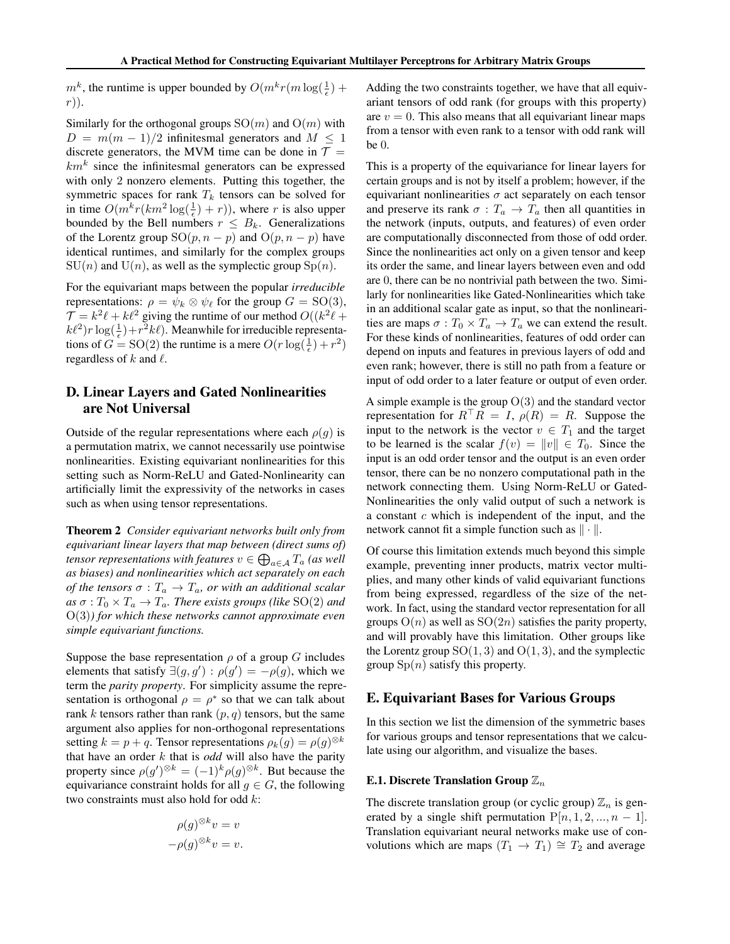<span id="page-13-0"></span> $m^k$ , the runtime is upper bounded by  $O(m^k r (m \log(\frac{1}{\epsilon}) +$ r)).

Similarly for the orthogonal groups  $SO(m)$  and  $O(m)$  with  $D = m(m-1)/2$  infinitesmal generators and  $M \le 1$ discrete generators, the MVM time can be done in  $\mathcal{T} =$  $km<sup>k</sup>$  since the infinitesmal generators can be expressed with only 2 nonzero elements. Putting this together, the symmetric spaces for rank  $T_k$  tensors can be solved for in time  $O(m^k r (km^2 \log(\frac{1}{\epsilon}) + r))$ , where r is also upper bounded by the Bell numbers  $r \leq B_k$ . Generalizations of the Lorentz group  $SO(p, n - p)$  and  $O(p, n - p)$  have identical runtimes, and similarly for the complex groups  $SU(n)$  and  $U(n)$ , as well as the symplectic group  $Sp(n)$ .

For the equivariant maps between the popular *irreducible* representations:  $\rho = \psi_k \otimes \psi_\ell$  for the group  $G = SO(3)$ ,  $\mathcal{T} = k^2 \ell + k \ell^2$  giving the runtime of our method  $O((k^2 \ell +$  $k\ell^2$ )r log( $\frac{1}{\epsilon}$ ) +  $r^2k\ell$ ). Meanwhile for irreducible representations of  $G = SO(2)$  the runtime is a mere  $O(r \log(\frac{1}{\epsilon}) + r^2)$ regardless of  $k$  and  $\ell$ .

## D. Linear Layers and Gated Nonlinearities are Not Universal

Outside of the regular representations where each  $\rho(g)$  is a permutation matrix, we cannot necessarily use pointwise nonlinearities. Existing equivariant nonlinearities for this setting such as Norm-ReLU and Gated-Nonlinearity can artificially limit the expressivity of the networks in cases such as when using tensor representations.

Theorem 2 *Consider equivariant networks built only from equivariant linear layers that map between (direct sums of)* tensor representations with features  $v\in \bigoplus_{a\in\mathcal{A}} T_a$  (as well *as biases) and nonlinearities which act separately on each of the tensors*  $\sigma : T_a \to T_a$ *, or with an additional scalar*  $as \sigma : T_0 \times T_a \to T_a$ . There exists groups (like SO(2) and O(3)*) for which these networks cannot approximate even simple equivariant functions.*

Suppose the base representation  $\rho$  of a group G includes elements that satisfy  $\exists (g, g') : \rho(g') = -\rho(g)$ , which we term the *parity property*. For simplicity assume the representation is orthogonal  $\rho = \rho^*$  so that we can talk about rank k tensors rather than rank  $(p, q)$  tensors, but the same argument also applies for non-orthogonal representations setting  $k = p + q$ . Tensor representations  $\rho_k(g) = \rho(g)^{\otimes k}$ that have an order k that is *odd* will also have the parity property since  $\rho(g')^{\otimes k} = (-1)^k \rho(g)^{\otimes k}$ . But because the equivariance constraint holds for all  $g \in G$ , the following two constraints must also hold for odd k:

$$
\rho(g)^{\otimes k} v = v
$$

$$
-\rho(g)^{\otimes k} v = v.
$$

Adding the two constraints together, we have that all equivariant tensors of odd rank (for groups with this property) are  $v = 0$ . This also means that all equivariant linear maps from a tensor with even rank to a tensor with odd rank will be 0.

This is a property of the equivariance for linear layers for certain groups and is not by itself a problem; however, if the equivariant nonlinearities  $\sigma$  act separately on each tensor and preserve its rank  $\sigma : T_a \to T_a$  then all quantities in the network (inputs, outputs, and features) of even order are computationally disconnected from those of odd order. Since the nonlinearities act only on a given tensor and keep its order the same, and linear layers between even and odd are 0, there can be no nontrivial path between the two. Similarly for nonlinearities like Gated-Nonlinearities which take in an additional scalar gate as input, so that the nonlinearities are maps  $\sigma: T_0 \times T_a \to T_a$  we can extend the result. For these kinds of nonlinearities, features of odd order can depend on inputs and features in previous layers of odd and even rank; however, there is still no path from a feature or input of odd order to a later feature or output of even order.

A simple example is the group  $O(3)$  and the standard vector representation for  $R^{\top}R = I$ ,  $\rho(R) = R$ . Suppose the input to the network is the vector  $v \in T_1$  and the target to be learned is the scalar  $f(v) = ||v|| \in T_0$ . Since the input is an odd order tensor and the output is an even order tensor, there can be no nonzero computational path in the network connecting them. Using Norm-ReLU or Gated-Nonlinearities the only valid output of such a network is a constant c which is independent of the input, and the network cannot fit a simple function such as  $\|\cdot\|$ .

Of course this limitation extends much beyond this simple example, preventing inner products, matrix vector multiplies, and many other kinds of valid equivariant functions from being expressed, regardless of the size of the network. In fact, using the standard vector representation for all groups  $O(n)$  as well as  $SO(2n)$  satisfies the parity property, and will provably have this limitation. Other groups like the Lorentz group  $SO(1, 3)$  and  $O(1, 3)$ , and the symplectic group  $\text{Sp}(n)$  satisfy this property.

### E. Equivariant Bases for Various Groups

In this section we list the dimension of the symmetric bases for various groups and tensor representations that we calculate using our algorithm, and visualize the bases.

#### E.1. Discrete Translation Group  $\mathbb{Z}_n$

The discrete translation group (or cyclic group)  $\mathbb{Z}_n$  is generated by a single shift permutation  $P[n, 1, 2, ..., n - 1]$ . Translation equivariant neural networks make use of convolutions which are maps  $(T_1 \rightarrow T_1) \cong T_2$  and average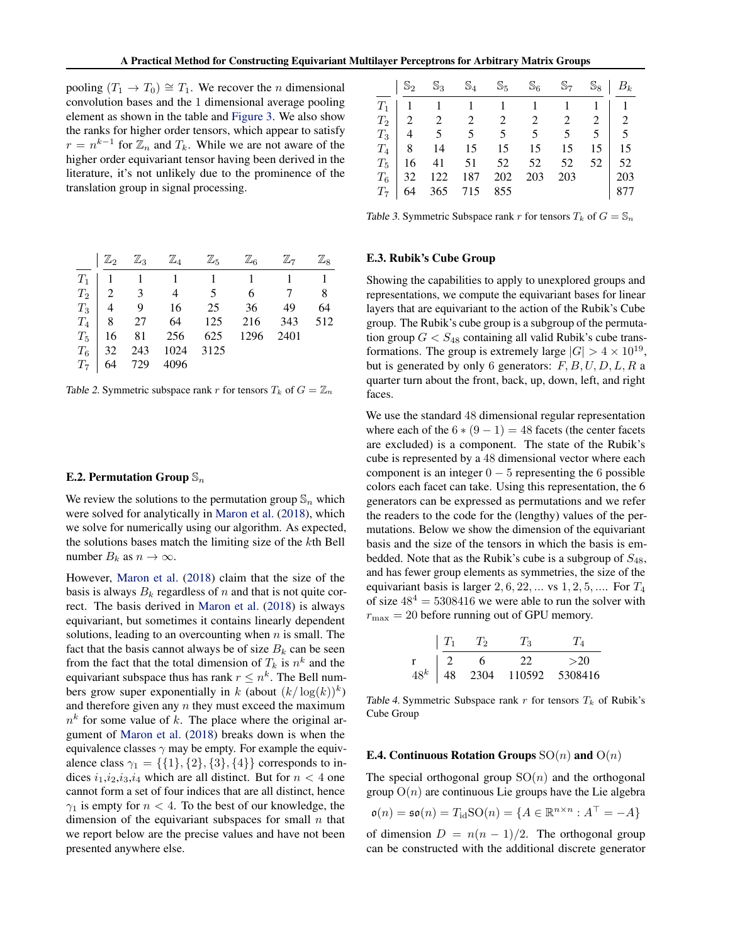pooling  $(T_1 \rightarrow T_0) \cong T_1$ . We recover the *n* dimensional convolution bases and the 1 dimensional average pooling element as shown in the table and [Figure 3.](#page-4-0) We also show the ranks for higher order tensors, which appear to satisfy  $r = n^{k-1}$  for  $\mathbb{Z}_n$  and  $T_k$ . While we are not aware of the higher order equivariant tensor having been derived in the literature, it's not unlikely due to the prominence of the translation group in signal processing.

|             |            |     |     | $\mathbb{S}_3$ $\mathbb{S}_4$ $\mathbb{S}_5$ | $\mathbb{S}_6$ | $\mathbb{S}_7$      |    | $\mathbb{S}_8$ $B_k$ |
|-------------|------------|-----|-----|----------------------------------------------|----------------|---------------------|----|----------------------|
|             |            |     |     |                                              |                | $1 \quad 1 \quad 1$ |    |                      |
|             |            |     |     |                                              |                |                     |    |                      |
|             |            |     |     | $T_3$   4 5 5 5 5 5 5 5                      |                |                     |    | $\frac{1}{5}$        |
|             |            |     |     | $T_4$   8   14   15   15   15                |                | 15                  | 15 | 15                   |
| $T_5$       |            |     |     | $16$ 41 51 52 52 52                          |                |                     | 52 | 52                   |
| $T_{\rm 6}$ | $\vert$ 32 | 122 | 187 | 202                                          | 203            | 203                 |    | 203                  |
|             | 64         | 365 | 715 | 855                                          |                |                     |    |                      |

Table 3. Symmetric Subspace rank r for tensors  $T_k$  of  $G = \mathbb{S}_n$ 

### E.3. Rubik's Cube Group

Showing the capabilities to apply to unexplored groups and representations, we compute the equivariant bases for linear layers that are equivariant to the action of the Rubik's Cube group. The Rubik's cube group is a subgroup of the permutation group  $G < S_{48}$  containing all valid Rubik's cube transformations. The group is extremely large  $|G| > 4 \times 10^{19}$ , but is generated by only 6 generators:  $F, B, U, D, L, R$  a quarter turn about the front, back, up, down, left, and right faces.

We use the standard 48 dimensional regular representation where each of the  $6*(9-1) = 48$  facets (the center facets are excluded) is a component. The state of the Rubik's cube is represented by a 48 dimensional vector where each component is an integer  $0 - 5$  representing the 6 possible colors each facet can take. Using this representation, the 6 generators can be expressed as permutations and we refer the readers to the code for the (lengthy) values of the permutations. Below we show the dimension of the equivariant basis and the size of the tensors in which the basis is embedded. Note that as the Rubik's cube is a subgroup of  $S_{48}$ , and has fewer group elements as symmetries, the size of the equivariant basis is larger  $2, 6, 22, \ldots$  vs  $1, 2, 5, \ldots$  For  $T_4$ of size  $48^4 = 5308416$  we were able to run the solver with  $r_{\text{max}} = 20$  before running out of GPU memory.

|        |    | $T_2$ | $^{\prime}$ <sub>3</sub> |         |
|--------|----|-------|--------------------------|---------|
|        |    | 6     | 22                       | >20     |
| $48^k$ | 48 | 2304  | 110592                   | 5308416 |

Table 4. Symmetric Subspace rank  $r$  for tensors  $T_k$  of Rubik's Cube Group

#### **E.4. Continuous Rotation Groups**  $SO(n)$  and  $O(n)$

The special orthogonal group  $SO(n)$  and the orthogonal group  $O(n)$  are continuous Lie groups have the Lie algebra

$$
\mathfrak{o}(n) = \mathfrak{so}(n) = T_{\text{id}}\text{SO}(n) = \{A \in \mathbb{R}^{n \times n} : A^{\top} = -A\}
$$

of dimension  $D = n(n - 1)/2$ . The orthogonal group can be constructed with the additional discrete generator

|  | $\boxed{\mathbb{Z}_2 \quad \mathbb{Z}_3 \quad \mathbb{Z}_4 \quad \mathbb{Z}_5 \quad \mathbb{Z}_6 \quad \mathbb{Z}_7 \quad \mathbb{Z}_8}$ |  |      |    |
|--|------------------------------------------------------------------------------------------------------------------------------------------|--|------|----|
|  |                                                                                                                                          |  |      |    |
|  | $T_2$   2 3 4 5 6 7 8                                                                                                                    |  |      |    |
|  | $T_3$   4 9 16 25 36 49                                                                                                                  |  |      | 64 |
|  | $T_4$   8 27 64 125 216 343 512                                                                                                          |  |      |    |
|  | $T_5$ 16 81 256 625 1296                                                                                                                 |  | 2401 |    |
|  | $T_6$   32 243 1024 3125                                                                                                                 |  |      |    |
|  | $T_7$ 64 729 4096                                                                                                                        |  |      |    |

Table 2. Symmetric subspace rank r for tensors  $T_k$  of  $G = \mathbb{Z}_n$ 

#### E.2. Permutation Group  $\mathbb{S}_n$

We review the solutions to the permutation group  $\mathbb{S}_n$  which were solved for analytically in [Maron et al.](#page-9-0) [\(2018\)](#page-9-0), which we solve for numerically using our algorithm. As expected, the solutions bases match the limiting size of the kth Bell number  $B_k$  as  $n \to \infty$ .

However, [Maron et al.](#page-9-0) [\(2018\)](#page-9-0) claim that the size of the basis is always  $B_k$  regardless of n and that is not quite correct. The basis derived in [Maron et al.](#page-9-0) [\(2018\)](#page-9-0) is always equivariant, but sometimes it contains linearly dependent solutions, leading to an overcounting when  $n$  is small. The fact that the basis cannot always be of size  $B_k$  can be seen from the fact that the total dimension of  $T_k$  is  $n^k$  and the equivariant subspace thus has rank  $r \leq n^k$ . The Bell numbers grow super exponentially in k (about  $(k/\log(k))^k$ ) and therefore given any  $n$  they must exceed the maximum  $n<sup>k</sup>$  for some value of k. The place where the original argument of [Maron et al.](#page-9-0) [\(2018\)](#page-9-0) breaks down is when the equivalence classes  $\gamma$  may be empty. For example the equivalence class  $\gamma_1 = \{\{1\}, \{2\}, \{3\}, \{4\}\}\$  corresponds to indices  $i_1,i_2,i_3,i_4$  which are all distinct. But for  $n < 4$  one cannot form a set of four indices that are all distinct, hence  $\gamma_1$  is empty for  $n < 4$ . To the best of our knowledge, the dimension of the equivariant subspaces for small  $n$  that we report below are the precise values and have not been presented anywhere else.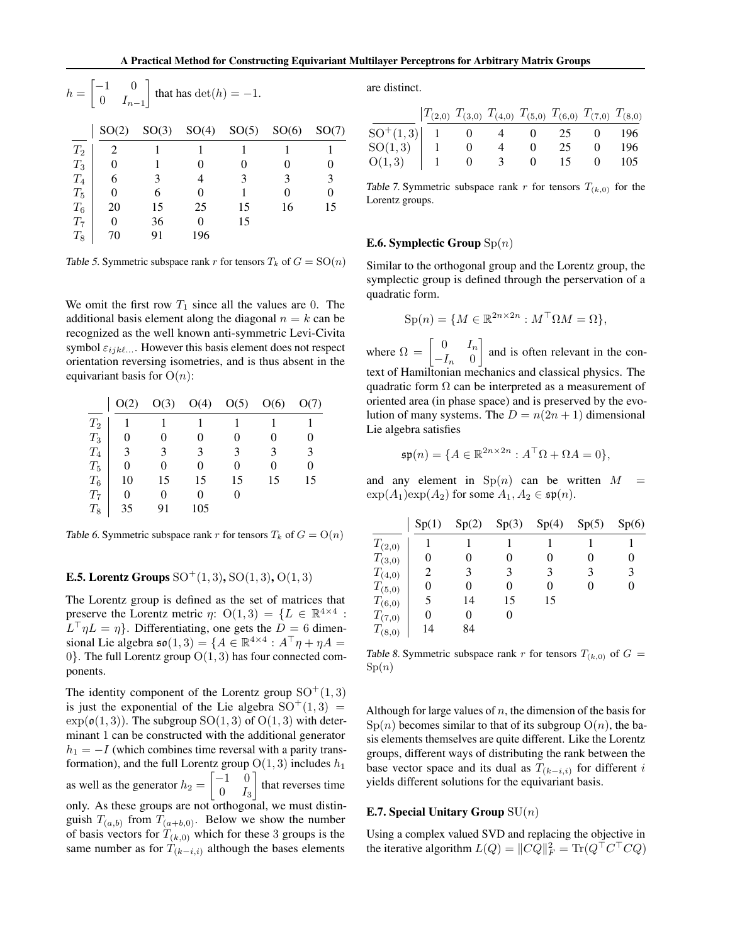| $h = \begin{bmatrix} -1 & 0 \\ 0 & I_{n-1} \end{bmatrix}$ that has $\det(h) = -1$ . |       |       |       |       |       |       |  |  |  |
|-------------------------------------------------------------------------------------|-------|-------|-------|-------|-------|-------|--|--|--|
|                                                                                     | SO(2) | SO(3) | SO(4) | SO(5) | SO(6) | SO(7) |  |  |  |
| $T_2$                                                                               | 2     |       |       |       |       |       |  |  |  |
| $T_3$                                                                               | 0     |       |       |       |       |       |  |  |  |
| $T_4$                                                                               | 6     | 3     |       | 3     | 3     | 3     |  |  |  |
| $T_5$                                                                               | 0     | 6     |       |       | 0     | 0     |  |  |  |
| $T_6$                                                                               | 20    | 15    | 25    | 15    | 16    | 15    |  |  |  |
| $T_7$                                                                               | 0     | 36    |       | 15    |       |       |  |  |  |
| $\scriptstyle T_8$                                                                  | 70    | 91    | 196   |       |       |       |  |  |  |

Table 5. Symmetric subspace rank r for tensors  $T_k$  of  $G = SO(n)$ 

We omit the first row  $T_1$  since all the values are 0. The additional basis element along the diagonal  $n = k$  can be recognized as the well known anti-symmetric Levi-Civita symbol  $\varepsilon_{ijk\ell...}$ . However this basis element does not respect orientation reversing isometries, and is thus absent in the equivariant basis for  $O(n)$ :

|                    | O(2) | O(3) | O(4) | O(5) | O(6) | O(7) |
|--------------------|------|------|------|------|------|------|
| $\scriptstyle T_2$ |      |      |      |      |      |      |
| $T_3$              |      | 0    | 0    | 0    |      |      |
| $T_4$              | 3    | 3    | 3    | 3    |      | 3    |
| $T_5$              | 0    |      | 0    | 0    | 0    |      |
| $T_6$              | 10   | 15   | 15   | 15   | 15   | 15   |
| $T_7$              | 0    | 0    | 0    |      |      |      |
| $T_8$              | 35   | 91   | 105  |      |      |      |

Table 6. Symmetric subspace rank r for tensors  $T_k$  of  $G = O(n)$ 

#### **E.5.** Lorentz Groups  $SO^+(1,3)$ ,  $SO(1,3)$ ,  $O(1,3)$

The Lorentz group is defined as the set of matrices that preserve the Lorentz metric  $\eta$ :  $O(1,3) = \{L \in \mathbb{R}^{4 \times 4}$ :  $L^{\top} \eta L = \eta$ . Differentiating, one gets the  $D = 6$  dimensional Lie algebra  $\mathfrak{so}(1,3) = \{A \in \mathbb{R}^{4 \times 4} : A^\top \eta + \eta A =$ 0. The full Lorentz group  $O(1, 3)$  has four connected components.

The identity component of the Lorentz group  $SO^+(1,3)$ is just the exponential of the Lie algebra  $SO^+(1,3)$  =  $\exp(\mathfrak{o}(1,3))$ . The subgroup  $SO(1,3)$  of  $O(1,3)$  with determinant 1 can be constructed with the additional generator  $h_1 = -I$  (which combines time reversal with a parity transformation), and the full Lorentz group  $O(1, 3)$  includes  $h_1$ as well as the generator  $h_2 = \begin{bmatrix} -1 & 0 \\ 0 & L \end{bmatrix}$  $0$   $I_3$ that reverses time only. As these groups are not orthogonal, we must distinguish  $T_{(a,b)}$  from  $T_{(a+b,0)}$ . Below we show the number of basis vectors for  $T_{(k,0)}$  which for these 3 groups is the same number as for  $T_{(k-i,i)}$  although the bases elements

are distinct.

|                                                                                       | $T_{(2,0)}$ $T_{(3,0)}$ $T_{(4,0)}$ $T_{(5,0)}$ $T_{(6,0)}$ $T_{(7,0)}$ $T_{(8,0)}$ |              |              |    |      |
|---------------------------------------------------------------------------------------|-------------------------------------------------------------------------------------|--------------|--------------|----|------|
| $SO^+(1,3)$ 1 0 4 0 25 0 196                                                          |                                                                                     |              |              |    |      |
| $\left. \begin{array}{c} \mathrm{SO}(1,3) \ \mathrm{O}(1,3) \end{array} \right  \, .$ |                                                                                     | $\mathbf{0}$ | $\mathbf{U}$ | 25 | -196 |
|                                                                                       |                                                                                     |              | $\mathbf{0}$ | 15 | 105  |

Table 7. Symmetric subspace rank r for tensors  $T_{(k,0)}$  for the Lorentz groups.

#### **E.6. Symplectic Group**  $\text{Sp}(n)$

Similar to the orthogonal group and the Lorentz group, the symplectic group is defined through the perservation of a quadratic form.

$$
\mathrm{Sp}(n) = \{ M \in \mathbb{R}^{2n \times 2n} : M^\top \Omega M = \Omega \},
$$

where  $\Omega = \begin{bmatrix} 0 & I_n \\ I_n & 0 \end{bmatrix}$  $-I_n$  0 and is often relevant in the context of Hamiltonian mechanics and classical physics. The quadratic form  $\Omega$  can be interpreted as a measurement of oriented area (in phase space) and is preserved by the evolution of many systems. The  $D = n(2n + 1)$  dimensional Lie algebra satisfies

$$
\mathfrak{sp}(n) = \{ A \in \mathbb{R}^{2n \times 2n} : A^\top \Omega + \Omega A = 0 \},
$$

and any element in  $\text{Sp}(n)$  can be written  $M =$  $\exp(A_1)\exp(A_2)$  for some  $A_1, A_2 \in \mathfrak{sp}(n)$ .

|             | Sp(1) | Sp(2) | Sp(3) | Sp(4) | Sp(5) | Sp(6) |
|-------------|-------|-------|-------|-------|-------|-------|
| $T_{(2,0)}$ |       |       |       |       |       |       |
| $T_{(3,0)}$ | 0     | 0     |       | 0     | 0     |       |
| $T_{(4,0)}$ |       | 3     |       | 3     |       |       |
| $T_{(5,0)}$ | 0     | 0     | 0     | 0     | 0     |       |
| $T_{(6,0)}$ | 5     | 14    | 15    | 15    |       |       |
| $T_{(7,0)}$ | 0     | 0     |       |       |       |       |
| $T_{(8,0)}$ | 14    | 84    |       |       |       |       |

Table 8. Symmetric subspace rank r for tensors  $T_{(k,0)}$  of  $G =$  $Sp(n)$ 

Although for large values of  $n$ , the dimension of the basis for  $\mathrm{Sp}(n)$  becomes similar to that of its subgroup  $\mathrm{O}(n)$ , the basis elements themselves are quite different. Like the Lorentz groups, different ways of distributing the rank between the base vector space and its dual as  $T_{(k-i,i)}$  for different i yields different solutions for the equivariant basis.

#### E.7. Special Unitary Group  $SU(n)$

Using a complex valued SVD and replacing the objective in the iterative algorithm  $L(Q) = ||CQ||_F^2 = \text{Tr}(Q^\top C^\top C Q)$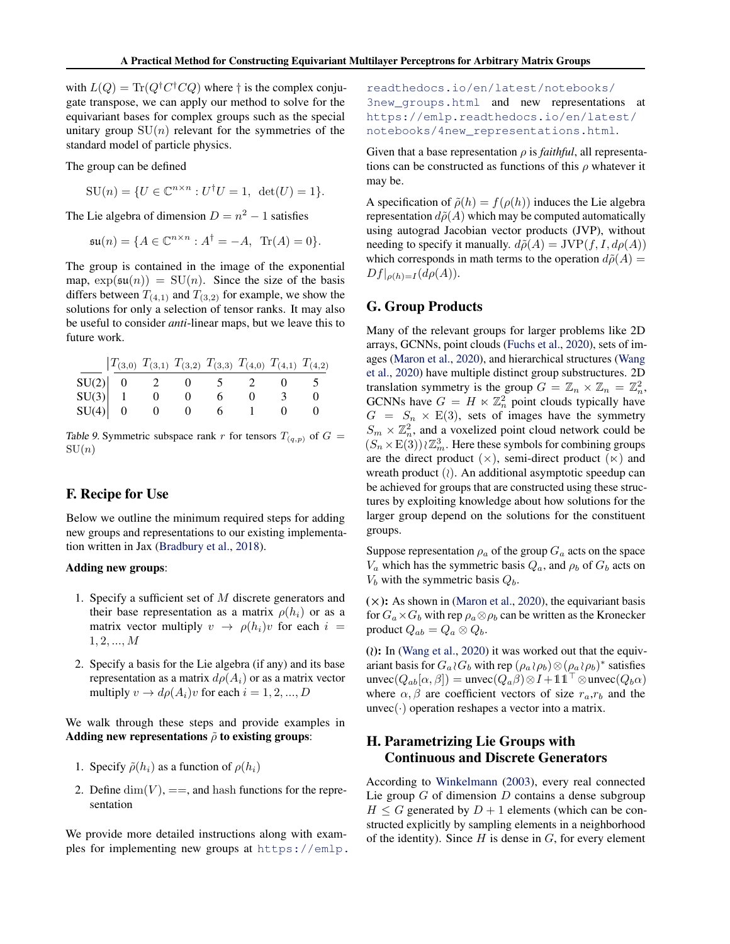<span id="page-16-0"></span>with  $L(Q) = \text{Tr}(Q^{\dagger} C^{\dagger} C Q)$  where  $\dagger$  is the complex conjugate transpose, we can apply our method to solve for the equivariant bases for complex groups such as the special unitary group  $SU(n)$  relevant for the symmetries of the standard model of particle physics.

The group can be defined

 $\mathrm{SU}(n) = \{U \in \mathbb{C}^{n \times n} : U^{\dagger}U = 1, \ \det(U) = 1\}.$ 

The Lie algebra of dimension  $D = n^2 - 1$  satisfies

$$
\mathfrak{su}(n) = \{ A \in \mathbb{C}^{n \times n} : A^{\dagger} = -A, \text{ Tr}(A) = 0 \}.
$$

The group is contained in the image of the exponential map,  $exp(su(n)) = SU(n)$ . Since the size of the basis differs between  $T_{(4,1)}$  and  $T_{(3,2)}$  for example, we show the solutions for only a selection of tensor ranks. It may also be useful to consider *anti*-linear maps, but we leave this to future work.

|           |  | $T_{(3,0)}$ $T_{(3,1)}$ $T_{(3,2)}$ $T_{(3,3)}$ $T_{(4,0)}$ $T_{(4,1)}$ $T_{(4,2)}$ |  |  |
|-----------|--|-------------------------------------------------------------------------------------|--|--|
| $SU(2)$ 0 |  |                                                                                     |  |  |
| SU(3)     |  |                                                                                     |  |  |
| SU(4)     |  |                                                                                     |  |  |

Table 9. Symmetric subspace rank r for tensors  $T_{(q,p)}$  of  $G =$  $SU(n)$ 

### F. Recipe for Use

Below we outline the minimum required steps for adding new groups and representations to our existing implementation written in Jax [\(Bradbury et al.,](#page-8-0) [2018\)](#page-8-0).

#### Adding new groups:

- 1. Specify a sufficient set of M discrete generators and their base representation as a matrix  $\rho(h_i)$  or as a matrix vector multiply  $v \rightarrow \rho(h_i)v$  for each  $i =$  $1, 2, ..., M$
- 2. Specify a basis for the Lie algebra (if any) and its base representation as a matrix  $d\rho(A_i)$  or as a matrix vector multiply  $v \to d\rho(A_i)v$  for each  $i = 1, 2, ..., D$

We walk through these steps and provide examples in Adding new representations  $\tilde{\rho}$  to existing groups:

- 1. Specify  $\tilde{\rho}(h_i)$  as a function of  $\rho(h_i)$
- 2. Define  $\dim(V)$ , ==, and hash functions for the representation

We provide more detailed instructions along with examples for implementing new groups at [https://emlp.](https://emlp.readthedocs.io/en/latest/notebooks/3new_groups.html)

[readthedocs.io/en/latest/notebooks/](https://emlp.readthedocs.io/en/latest/notebooks/3new_groups.html) [3new\\_groups.html](https://emlp.readthedocs.io/en/latest/notebooks/3new_groups.html) and new representations at [https://emlp.readthedocs.io/en/latest/](https://emlp.readthedocs.io/en/latest/notebooks/4new_representations.html) [notebooks/4new\\_representations.html](https://emlp.readthedocs.io/en/latest/notebooks/4new_representations.html).

Given that a base representation  $\rho$  is *faithful*, all representations can be constructed as functions of this  $\rho$  whatever it may be.

A specification of  $\tilde{\rho}(h) = f(\rho(h))$  induces the Lie algebra representation  $d\tilde{\rho}(A)$  which may be computed automatically using autograd Jacobian vector products (JVP), without needing to specify it manually.  $d\tilde{\rho}(A) = JVP(f, I, d\rho(A))$ which corresponds in math terms to the operation  $d\tilde{\rho}(A) =$  $Df|_{\rho(h)=I} (d\rho(A)).$ 

### G. Group Products

Many of the relevant groups for larger problems like 2D arrays, GCNNs, point clouds [\(Fuchs et al.,](#page-9-0) [2020\)](#page-9-0), sets of images [\(Maron et al.,](#page-9-0) [2020\)](#page-9-0), and hierarchical structures [\(Wang](#page-9-0) [et al.,](#page-9-0) [2020\)](#page-9-0) have multiple distinct group substructures. 2D translation symmetry is the group  $G = \mathbb{Z}_n \times \mathbb{Z}_n = \mathbb{Z}_n^2$ , GCNNs have  $G = H \ltimes \mathbb{Z}_n^2$  point clouds typically have  $G = S_n \times E(3)$ , sets of images have the symmetry  $S_m \times \mathbb{Z}_n^2$ , and a voxelized point cloud network could be  $(S_n\times \text{E}(3))\wr \mathbb{Z}_m^3$ . Here these symbols for combining groups are the direct product  $(x)$ , semi-direct product  $(x)$  and wreath product  $(2)$ . An additional asymptotic speedup can be achieved for groups that are constructed using these structures by exploiting knowledge about how solutions for the larger group depend on the solutions for the constituent groups.

Suppose representation  $\rho_a$  of the group  $G_a$  acts on the space  $V_a$  which has the symmetric basis  $Q_a$ , and  $\rho_b$  of  $G_b$  acts on  $V_b$  with the symmetric basis  $Q_b$ .

 $(x)$ : As shown in [\(Maron et al.,](#page-9-0) [2020\)](#page-9-0), the equivariant basis for  $G_a \times G_b$  with rep  $\rho_a \otimes \rho_b$  can be written as the Kronecker product  $Q_{ab} = Q_a \otimes Q_b$ .

( $\lambda$ ): In [\(Wang et al.,](#page-9-0) [2020\)](#page-9-0) it was worked out that the equivariant basis for  $G_a \wr G_b$  with rep  $(\rho_a \wr \rho_b) \otimes (\rho_a \wr \rho_b)^*$  satisfies unvec( $Q_{ab}[\alpha, \beta]$ ) = unvec( $Q_a\beta$ )⊗  $I + 11^\top$ ⊗unvec( $Q_b\alpha$ ) where  $\alpha$ ,  $\beta$  are coefficient vectors of size  $r_a$ ,  $r_b$  and the  $unvec(\cdot)$  operation reshapes a vector into a matrix.

# H. Parametrizing Lie Groups with Continuous and Discrete Generators

According to [Winkelmann](#page-10-0) [\(2003\)](#page-10-0), every real connected Lie group  $G$  of dimension  $D$  contains a dense subgroup  $H \leq G$  generated by  $D + 1$  elements (which can be constructed explicitly by sampling elements in a neighborhood of the identity). Since  $H$  is dense in  $G$ , for every element